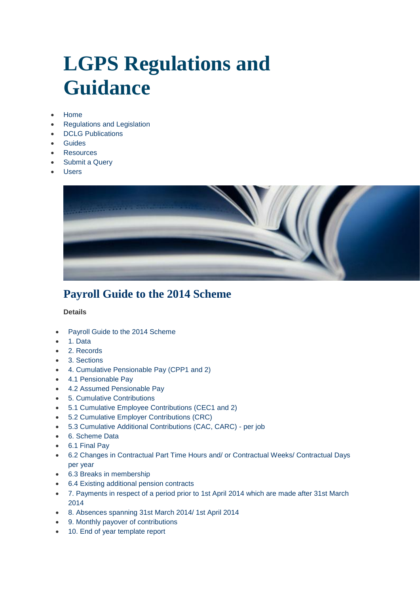# **[LGPS Regulations and](http://www.lgpsregs.org/)  [Guidance](http://www.lgpsregs.org/)**

- [Home](http://www.lgpsregs.org/)
- [Regulations and Legislation](http://www.lgpsregs.org/index.php/regs-legislation)
- [DCLG Publications](http://www.lgpsregs.org/index.php/dclg-publications)
- [Guides](http://www.lgpsregs.org/index.php/guides)
- [Resources](http://www.lgpsregs.org/index.php/resources)
- [Submit a Query](http://www.lgpsregs.org/index.php/submit-a-query)
- [Users](http://www.lgpsregs.org/index.php/logon-page)



# **Payroll Guide to the 2014 Scheme**

#### **Details**

- [Payroll Guide to the 2014 Scheme](http://www.lgpsregs.org/index.php/guides/payroll-guide-to-the-2014-scheme?showall=&limitstart=)
- [1. Data](http://www.lgpsregs.org/index.php/guides/payroll-guide-to-the-2014-scheme?showall=&start=1)
- [2. Records](http://www.lgpsregs.org/index.php/guides/payroll-guide-to-the-2014-scheme?showall=&start=2)
- [3. Sections](http://www.lgpsregs.org/index.php/guides/payroll-guide-to-the-2014-scheme?showall=&start=3)
- [4. Cumulative Pensionable Pay \(CPP1 and 2\)](http://www.lgpsregs.org/index.php/guides/payroll-guide-to-the-2014-scheme?showall=&start=4)
- [4.1 Pensionable Pay](http://www.lgpsregs.org/index.php/guides/payroll-guide-to-the-2014-scheme?showall=&start=5)
- [4.2 Assumed Pensionable Pay](http://www.lgpsregs.org/index.php/guides/payroll-guide-to-the-2014-scheme?showall=&start=6)
- [5. Cumulative Contributions](http://www.lgpsregs.org/index.php/guides/payroll-guide-to-the-2014-scheme?showall=&start=7)
- [5.1 Cumulative Employee Contributions \(CEC1 and 2\)](http://www.lgpsregs.org/index.php/guides/payroll-guide-to-the-2014-scheme?showall=&start=8)
- [5.2 Cumulative Employer Contributions \(CRC\)](http://www.lgpsregs.org/index.php/guides/payroll-guide-to-the-2014-scheme?showall=&start=9)
- [5.3 Cumulative Additional Contributions \(CAC, CARC\) -](http://www.lgpsregs.org/index.php/guides/payroll-guide-to-the-2014-scheme?showall=&start=10) per job
- [6. Scheme Data](http://www.lgpsregs.org/index.php/guides/payroll-guide-to-the-2014-scheme?showall=&start=11)
- [6.1 Final Pay](http://www.lgpsregs.org/index.php/guides/payroll-guide-to-the-2014-scheme?showall=&start=12)
- [6.2 Changes in Contractual Part Time Hours and/ or Contractual Weeks/ Contractual Days](http://www.lgpsregs.org/index.php/guides/payroll-guide-to-the-2014-scheme?showall=&start=13)  [per year](http://www.lgpsregs.org/index.php/guides/payroll-guide-to-the-2014-scheme?showall=&start=13)
- [6.3 Breaks in membership](http://www.lgpsregs.org/index.php/guides/payroll-guide-to-the-2014-scheme?showall=&start=14)
- [6.4 Existing additional pension contracts](http://www.lgpsregs.org/index.php/guides/payroll-guide-to-the-2014-scheme?showall=&start=15)
- [7. Payments in respect of a period prior to 1st April](http://www.lgpsregs.org/index.php/guides/payroll-guide-to-the-2014-scheme?showall=&start=16) 2014 which are made after 31st March [2014](http://www.lgpsregs.org/index.php/guides/payroll-guide-to-the-2014-scheme?showall=&start=16)
- [8. Absences spanning 31st March 2014/ 1st April 2014](http://www.lgpsregs.org/index.php/guides/payroll-guide-to-the-2014-scheme?showall=&start=17)
- [9. Monthly payover of contributions](http://www.lgpsregs.org/index.php/guides/payroll-guide-to-the-2014-scheme?showall=&start=18)
- [10. End of year template report](http://www.lgpsregs.org/index.php/guides/payroll-guide-to-the-2014-scheme?showall=&start=19)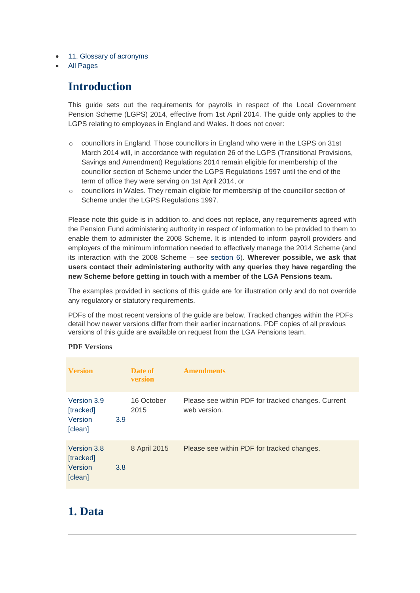- [11. Glossary of acronyms](http://www.lgpsregs.org/index.php/guides/payroll-guide-to-the-2014-scheme?showall=&start=20)
- [All Pages](http://www.lgpsregs.org/index.php/guides/payroll-guide-to-the-2014-scheme?showall=1&limitstart=)

# **Introduction**

This guide sets out the requirements for payrolls in respect of the Local Government Pension Scheme (LGPS) 2014, effective from 1st April 2014. The guide only applies to the LGPS relating to employees in England and Wales. It does not cover:

- $\circ$  councillors in England. Those councillors in England who were in the LGPS on 31st March 2014 will, in accordance with regulation 26 of the LGPS (Transitional Provisions, Savings and Amendment) Regulations 2014 remain eligible for membership of the councillor section of Scheme under the LGPS Regulations 1997 until the end of the term of office they were serving on 1st April 2014, or
- $\circ$  councillors in Wales. They remain eligible for membership of the councillor section of Scheme under the LGPS Regulations 1997.

Please note this guide is in addition to, and does not replace, any requirements agreed with the Pension Fund administering authority in respect of information to be provided to them to enable them to administer the 2008 Scheme. It is intended to inform payroll providers and employers of the minimum information needed to effectively manage the 2014 Scheme (and its interaction with the 2008 Scheme – see [section 6\)](http://www.lgpsregs.org/index.php/guides/payroll-guide-to-the-2014-scheme?showall=&start=11). **Wherever possible, we ask that users contact their administering authority with any queries they have regarding the new Scheme before getting in touch with a member of the LGA Pensions team.** 

The examples provided in sections of this guide are for illustration only and do not override any regulatory or statutory requirements.

PDFs of the most recent versions of the guide are below. Tracked changes within the PDFs detail how newer versions differ from their earlier incarnations. PDF copies of all previous versions of this guide are available on request from the LGA Pensions team.

#### **PDF Versions**

| <b>Version</b>                                 |     | Date of<br><b>version</b> | <b>Amendments</b>                                                  |
|------------------------------------------------|-----|---------------------------|--------------------------------------------------------------------|
| Version 3.9<br>[tracked]<br>Version<br>[clean] | 3.9 | 16 October<br>2015        | Please see within PDF for tracked changes. Current<br>web version. |
| Version 3.8<br>[tracked]<br>Version<br>[clean] | 3.8 | 8 April 2015              | Please see within PDF for tracked changes.                         |

### **1. Data**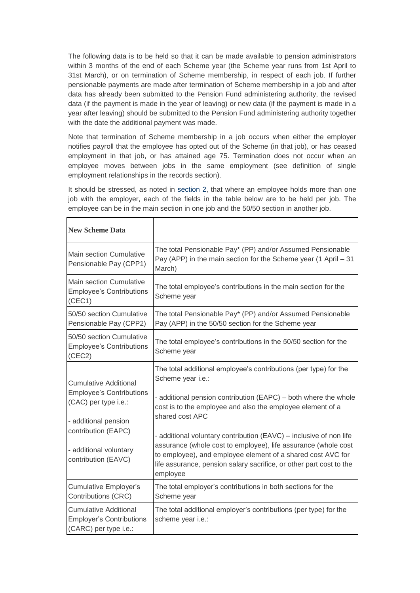The following data is to be held so that it can be made available to pension administrators within 3 months of the end of each Scheme year (the Scheme year runs from 1st April to 31st March), or on termination of Scheme membership, in respect of each job. If further pensionable payments are made after termination of Scheme membership in a job and after data has already been submitted to the Pension Fund administering authority, the revised data (if the payment is made in the year of leaving) or new data (if the payment is made in a year after leaving) should be submitted to the Pension Fund administering authority together with the date the additional payment was made.

Note that termination of Scheme membership in a job occurs when either the employer notifies payroll that the employee has opted out of the Scheme (in that job), or has ceased employment in that job, or has attained age 75. Termination does not occur when an employee moves between jobs in the same employment (see definition of single employment relationships in the records section).

It should be stressed, as noted in [section 2,](http://www.lgpsregs.org/index.php/guides/payroll-guide-to-the-2014-scheme?showall=&start=2) that where an employee holds more than one job with the employer, each of the fields in the table below are to be held per job. The employee can be in the main section in one job and the 50/50 section in another job.

 $\mathsf{r}$ 

| <b>New Scheme Data</b>                                                                                          |                                                                                                                                                                                                                                                                                        |
|-----------------------------------------------------------------------------------------------------------------|----------------------------------------------------------------------------------------------------------------------------------------------------------------------------------------------------------------------------------------------------------------------------------------|
| Main section Cumulative<br>Pensionable Pay (CPP1)                                                               | The total Pensionable Pay* (PP) and/or Assumed Pensionable<br>Pay (APP) in the main section for the Scheme year (1 April - 31<br>March)                                                                                                                                                |
| Main section Cumulative<br><b>Employee's Contributions</b><br>(CEC1)                                            | The total employee's contributions in the main section for the<br>Scheme year                                                                                                                                                                                                          |
| 50/50 section Cumulative<br>Pensionable Pay (CPP2)                                                              | The total Pensionable Pay* (PP) and/or Assumed Pensionable<br>Pay (APP) in the 50/50 section for the Scheme year                                                                                                                                                                       |
| 50/50 section Cumulative<br><b>Employee's Contributions</b><br>(CEC2)                                           | The total employee's contributions in the 50/50 section for the<br>Scheme year                                                                                                                                                                                                         |
| <b>Cumulative Additional</b><br><b>Employee's Contributions</b><br>(CAC) per type i.e.:<br>- additional pension | The total additional employee's contributions (per type) for the<br>Scheme year i.e.:<br>- additional pension contribution (EAPC) – both where the whole<br>cost is to the employee and also the employee element of a<br>shared cost APC                                              |
| contribution (EAPC)<br>- additional voluntary<br>contribution (EAVC)                                            | - additional voluntary contribution (EAVC) – inclusive of non life<br>assurance (whole cost to employee), life assurance (whole cost<br>to employee), and employee element of a shared cost AVC for<br>life assurance, pension salary sacrifice, or other part cost to the<br>employee |
| <b>Cumulative Employer's</b><br>Contributions (CRC)                                                             | The total employer's contributions in both sections for the<br>Scheme year                                                                                                                                                                                                             |
| <b>Cumulative Additional</b><br><b>Employer's Contributions</b><br>(CARC) per type i.e.:                        | The total additional employer's contributions (per type) for the<br>scheme year i.e.:                                                                                                                                                                                                  |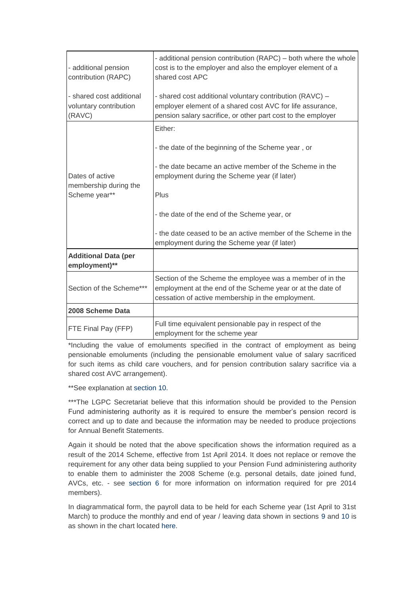| - additional pension<br>contribution (RAPC)                  | - additional pension contribution (RAPC) – both where the whole<br>cost is to the employer and also the employer element of a<br>shared cost APC                                      |
|--------------------------------------------------------------|---------------------------------------------------------------------------------------------------------------------------------------------------------------------------------------|
| - shared cost additional<br>voluntary contribution<br>(RAVC) | - shared cost additional voluntary contribution (RAVC) -<br>employer element of a shared cost AVC for life assurance,<br>pension salary sacrifice, or other part cost to the employer |
|                                                              | Either:                                                                                                                                                                               |
|                                                              | - the date of the beginning of the Scheme year, or                                                                                                                                    |
| Dates of active<br>membership during the                     | - the date became an active member of the Scheme in the<br>employment during the Scheme year (if later)                                                                               |
| Scheme year**                                                | Plus                                                                                                                                                                                  |
|                                                              | - the date of the end of the Scheme year, or                                                                                                                                          |
|                                                              | - the date ceased to be an active member of the Scheme in the<br>employment during the Scheme year (if later)                                                                         |
| <b>Additional Data (per</b><br>employment)**                 |                                                                                                                                                                                       |
| Section of the Scheme***                                     | Section of the Scheme the employee was a member of in the<br>employment at the end of the Scheme year or at the date of<br>cessation of active membership in the employment.          |
| 2008 Scheme Data                                             |                                                                                                                                                                                       |
| <b>FTE Final Pay (FFP)</b>                                   | Full time equivalent pensionable pay in respect of the<br>employment for the scheme year                                                                                              |

\*Including the value of emoluments specified in the contract of employment as being pensionable emoluments (including the pensionable emolument value of salary sacrificed for such items as child care vouchers, and for pension contribution salary sacrifice via a shared cost AVC arrangement).

\*\*See explanation at [section 10.](http://www.lgpsregs.org/index.php/guides/payroll-guide-to-the-2014-scheme?showall=&start=19)

\*\*\*The LGPC Secretariat believe that this information should be provided to the Pension Fund administering authority as it is required to ensure the member's pension record is correct and up to date and because the information may be needed to produce projections for Annual Benefit Statements.

Again it should be noted that the above specification shows the information required as a result of the 2014 Scheme, effective from 1st April 2014. It does not replace or remove the requirement for any other data being supplied to your Pension Fund administering authority to enable them to administer the 2008 Scheme (e.g. personal details, date joined fund, AVCs, etc. - see [section 6](http://www.lgpsregs.org/index.php/guides/payroll-guide-to-the-2014-scheme?showall=&start=11) for more information on information required for pre 2014 members).

In diagrammatical form, the payroll data to be held for each Scheme year (1st April to 31st March) to produce the monthly and end of year / leaving data shown in sections [9](http://www.lgpsregs.org/index.php/guides/payroll-guide-to-the-2014-scheme?showall=&start=18) and [10](http://www.lgpsregs.org/index.php/guides/payroll-guide-to-the-2014-scheme?showall=&start=19) is as shown in the chart located [here.](http://www.lgpsregs.org/images/Versions/schemeyeardatav1.1)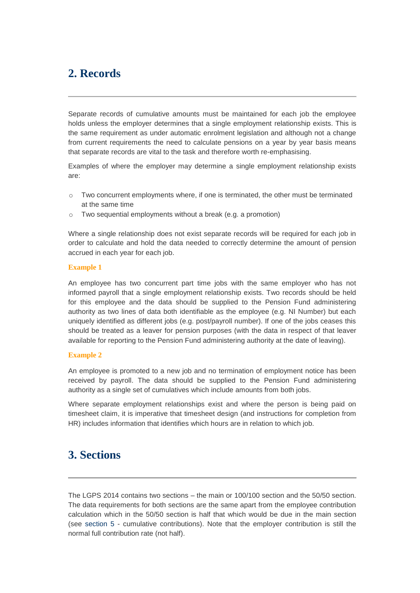# **2. Records**

Separate records of cumulative amounts must be maintained for each job the employee holds unless the employer determines that a single employment relationship exists. This is the same requirement as under automatic enrolment legislation and although not a change from current requirements the need to calculate pensions on a year by year basis means that separate records are vital to the task and therefore worth re-emphasising.

Examples of where the employer may determine a single employment relationship exists are:

- $\circ$  Two concurrent employments where, if one is terminated, the other must be terminated at the same time
- o Two sequential employments without a break (e.g. a promotion)

Where a single relationship does not exist separate records will be required for each job in order to calculate and hold the data needed to correctly determine the amount of pension accrued in each year for each job.

#### **Example 1**

An employee has two concurrent part time jobs with the same employer who has not informed payroll that a single employment relationship exists. Two records should be held for this employee and the data should be supplied to the Pension Fund administering authority as two lines of data both identifiable as the employee (e.g. NI Number) but each uniquely identified as different jobs (e.g. post/payroll number). If one of the jobs ceases this should be treated as a leaver for pension purposes (with the data in respect of that leaver available for reporting to the Pension Fund administering authority at the date of leaving).

#### **Example 2**

An employee is promoted to a new job and no termination of employment notice has been received by payroll. The data should be supplied to the Pension Fund administering authority as a single set of cumulatives which include amounts from both jobs.

Where separate employment relationships exist and where the person is being paid on timesheet claim, it is imperative that timesheet design (and instructions for completion from HR) includes information that identifies which hours are in relation to which job.

### **3. Sections**

The LGPS 2014 contains two sections – the main or 100/100 section and the 50/50 section. The data requirements for both sections are the same apart from the employee contribution calculation which in the 50/50 section is half that which would be due in the main section (see [section 5](http://www.lgpsregs.org/index.php/guides/payroll-guide-to-the-2014-scheme?showall=&start=7) - cumulative contributions). Note that the employer contribution is still the normal full contribution rate (not half).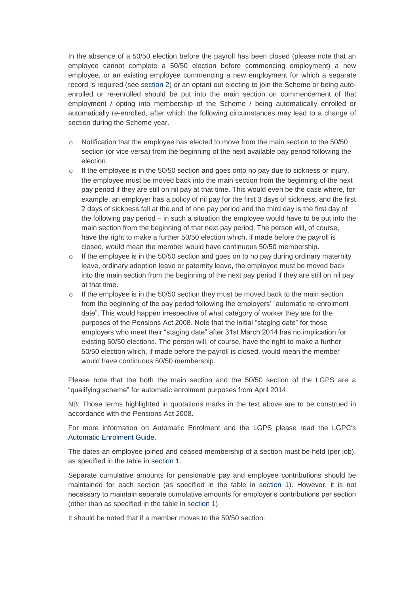In the absence of a 50/50 election before the payroll has been closed (please note that an employee cannot complete a 50/50 election before commencing employment) a new employee, or an existing employee commencing a new employment for which a separate record is required (see [section 2\)](http://www.lgpsregs.org/index.php/guides/payroll-guide-to-the-2014-scheme?showall=&start=2) or an optant out electing to join the Scheme or being autoenrolled or re-enrolled should be put into the main section on commencement of that employment / opting into membership of the Scheme / being automatically enrolled or automatically re-enrolled, after which the following circumstances may lead to a change of section during the Scheme year.

- $\circ$  Notification that the employee has elected to move from the main section to the 50/50 section (or vice versa) from the beginning of the next available pay period following the election.
- $\circ$  If the employee is in the 50/50 section and goes onto no pay due to sickness or injury, the employee must be moved back into the main section from the beginning of the next pay period if they are still on nil pay at that time. This would even be the case where, for example, an employer has a policy of nil pay for the first 3 days of sickness, and the first 2 days of sickness fall at the end of one pay period and the third day is the first day of the following pay period – in such a situation the employee would have to be put into the main section from the beginning of that next pay period. The person will, of course, have the right to make a further 50/50 election which, if made before the payroll is closed, would mean the member would have continuous 50/50 membership.
- $\circ$  If the employee is in the 50/50 section and goes on to no pay during ordinary maternity leave, ordinary adoption leave or paternity leave, the employee must be moved back into the main section from the beginning of the next pay period if they are still on nil pay at that time.
- If the employee is in the 50/50 section they must be moved back to the main section from the beginning of the pay period following the employers' "automatic re-enrolment date". This would happen irrespective of what category of worker they are for the purposes of the Pensions Act 2008. Note that the initial "staging date" for those employers who meet their "staging date" after 31st March 2014 has no implication for existing 50/50 elections. The person will, of course, have the right to make a further 50/50 election which, if made before the payroll is closed, would mean the member would have continuous 50/50 membership.

Please note that the both the main section and the 50/50 section of the LGPS are a "qualifying scheme" for automatic enrolment purposes from April 2014.

NB: Those terms highlighted in quotations marks in the text above are to be construed in accordance with the Pensions Act 2008.

For more information on Automatic Enrolment and the LGPS please read the LGPC's [Automatic Enrolment Guide.](http://www.local.gov.uk/documents/10180/12203/AE.doc/)

The dates an employee joined and ceased membership of a section must be held (per job), as specified in the table in [section 1.](http://www.lgpsregs.org/index.php/guides/payroll-guide-to-the-2014-scheme?showall=&start=1)

Separate cumulative amounts for pensionable pay and employee contributions should be maintained for each section (as specified in the table in [section 1\)](http://www.lgpsregs.org/index.php/guides/payroll-guide-to-the-2014-scheme?showall=&start=1). However, it is not necessary to maintain separate cumulative amounts for employer's contributions per section (other than as specified in the table in [section 1\)](http://www.lgpsregs.org/index.php/guides/payroll-guide-to-the-2014-scheme?showall=&start=1).

It should be noted that if a member moves to the 50/50 section: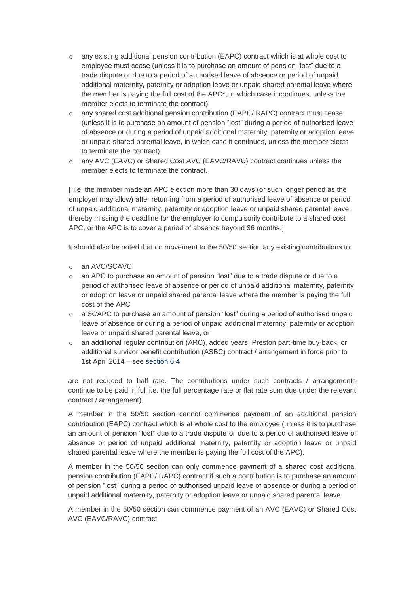- $\circ$  any existing additional pension contribution (EAPC) contract which is at whole cost to employee must cease (unless it is to purchase an amount of pension "lost" due to a trade dispute or due to a period of authorised leave of absence or period of unpaid additional maternity, paternity or adoption leave or unpaid shared parental leave where the member is paying the full cost of the APC\*, in which case it continues, unless the member elects to terminate the contract)
- o any shared cost additional pension contribution (EAPC/ RAPC) contract must cease (unless it is to purchase an amount of pension "lost" during a period of authorised leave of absence or during a period of unpaid additional maternity, paternity or adoption leave or unpaid shared parental leave, in which case it continues, unless the member elects to terminate the contract)
- o any AVC (EAVC) or Shared Cost AVC (EAVC/RAVC) contract continues unless the member elects to terminate the contract.

[\*i.e. the member made an APC election more than 30 days (or such longer period as the employer may allow) after returning from a period of authorised leave of absence or period of unpaid additional maternity, paternity or adoption leave or unpaid shared parental leave, thereby missing the deadline for the employer to compulsorily contribute to a shared cost APC, or the APC is to cover a period of absence beyond 36 months.]

It should also be noted that on movement to the 50/50 section any existing contributions to:

- o an AVC/SCAVC
- $\circ$  an APC to purchase an amount of pension "lost" due to a trade dispute or due to a period of authorised leave of absence or period of unpaid additional maternity, paternity or adoption leave or unpaid shared parental leave where the member is paying the full cost of the APC
- $\circ$  a SCAPC to purchase an amount of pension "lost" during a period of authorised unpaid leave of absence or during a period of unpaid additional maternity, paternity or adoption leave or unpaid shared parental leave, or
- $\circ$  an additional regular contribution (ARC), added years, Preston part-time buy-back, or additional survivor benefit contribution (ASBC) contract / arrangement in force prior to 1st April 2014 – see [section 6.4](http://www.lgpsregs.org/index.php/guides/payroll-guide-to-the-2014-scheme?showall=&start=15)

are not reduced to half rate. The contributions under such contracts / arrangements continue to be paid in full i.e. the full percentage rate or flat rate sum due under the relevant contract / arrangement).

A member in the 50/50 section cannot commence payment of an additional pension contribution (EAPC) contract which is at whole cost to the employee (unless it is to purchase an amount of pension "lost" due to a trade dispute or due to a period of authorised leave of absence or period of unpaid additional maternity, paternity or adoption leave or unpaid shared parental leave where the member is paying the full cost of the APC).

A member in the 50/50 section can only commence payment of a shared cost additional pension contribution (EAPC/ RAPC) contract if such a contribution is to purchase an amount of pension "lost" during a period of authorised unpaid leave of absence or during a period of unpaid additional maternity, paternity or adoption leave or unpaid shared parental leave.

A member in the 50/50 section can commence payment of an AVC (EAVC) or Shared Cost AVC (EAVC/RAVC) contract.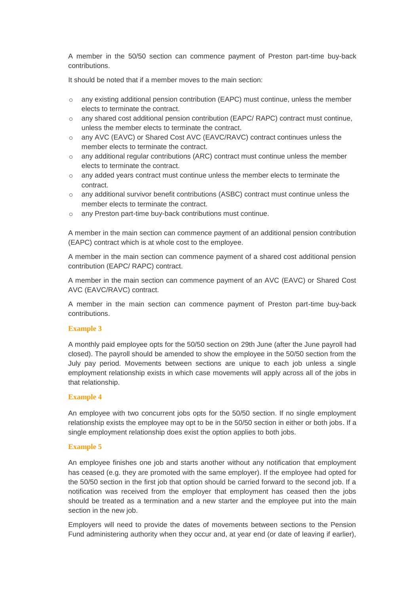A member in the 50/50 section can commence payment of Preston part-time buy-back contributions.

It should be noted that if a member moves to the main section:

- o any existing additional pension contribution (EAPC) must continue, unless the member elects to terminate the contract.
- $\circ$  any shared cost additional pension contribution (EAPC/ RAPC) contract must continue, unless the member elects to terminate the contract.
- o any AVC (EAVC) or Shared Cost AVC (EAVC/RAVC) contract continues unless the member elects to terminate the contract.
- $\circ$  any additional regular contributions (ARC) contract must continue unless the member elects to terminate the contract.
- o any added years contract must continue unless the member elects to terminate the contract.
- o any additional survivor benefit contributions (ASBC) contract must continue unless the member elects to terminate the contract.
- o any Preston part-time buy-back contributions must continue.

A member in the main section can commence payment of an additional pension contribution (EAPC) contract which is at whole cost to the employee.

A member in the main section can commence payment of a shared cost additional pension contribution (EAPC/ RAPC) contract.

A member in the main section can commence payment of an AVC (EAVC) or Shared Cost AVC (EAVC/RAVC) contract.

A member in the main section can commence payment of Preston part-time buy-back contributions.

#### **Example 3**

A monthly paid employee opts for the 50/50 section on 29th June (after the June payroll had closed). The payroll should be amended to show the employee in the 50/50 section from the July pay period. Movements between sections are unique to each job unless a single employment relationship exists in which case movements will apply across all of the jobs in that relationship.

#### **Example 4**

An employee with two concurrent jobs opts for the 50/50 section. If no single employment relationship exists the employee may opt to be in the 50/50 section in either or both jobs. If a single employment relationship does exist the option applies to both jobs.

#### **Example 5**

An employee finishes one job and starts another without any notification that employment has ceased (e.g. they are promoted with the same employer). If the employee had opted for the 50/50 section in the first job that option should be carried forward to the second job. If a notification was received from the employer that employment has ceased then the jobs should be treated as a termination and a new starter and the employee put into the main section in the new job.

Employers will need to provide the dates of movements between sections to the Pension Fund administering authority when they occur and, at year end (or date of leaving if earlier),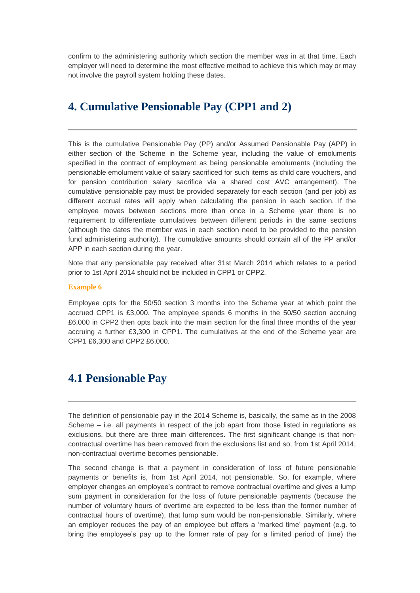confirm to the administering authority which section the member was in at that time. Each employer will need to determine the most effective method to achieve this which may or may not involve the payroll system holding these dates.

# **4. Cumulative Pensionable Pay (CPP1 and 2)**

This is the cumulative Pensionable Pay (PP) and/or Assumed Pensionable Pay (APP) in either section of the Scheme in the Scheme year, including the value of emoluments specified in the contract of employment as being pensionable emoluments (including the pensionable emolument value of salary sacrificed for such items as child care vouchers, and for pension contribution salary sacrifice via a shared cost AVC arrangement). The cumulative pensionable pay must be provided separately for each section (and per job) as different accrual rates will apply when calculating the pension in each section. If the employee moves between sections more than once in a Scheme year there is no requirement to differentiate cumulatives between different periods in the same sections (although the dates the member was in each section need to be provided to the pension fund administering authority). The cumulative amounts should contain all of the PP and/or APP in each section during the year.

Note that any pensionable pay received after 31st March 2014 which relates to a period prior to 1st April 2014 should not be included in CPP1 or CPP2.

#### **Example 6**

Employee opts for the 50/50 section 3 months into the Scheme year at which point the accrued CPP1 is £3,000. The employee spends 6 months in the 50/50 section accruing £6,000 in CPP2 then opts back into the main section for the final three months of the year accruing a further £3,300 in CPP1. The cumulatives at the end of the Scheme year are CPP1 £6,300 and CPP2 £6,000.

### **4.1 Pensionable Pay**

The definition of pensionable pay in the 2014 Scheme is, basically, the same as in the 2008 Scheme – i.e. all payments in respect of the job apart from those listed in regulations as exclusions, but there are three main differences. The first significant change is that noncontractual overtime has been removed from the exclusions list and so, from 1st April 2014, non-contractual overtime becomes pensionable.

The second change is that a payment in consideration of loss of future pensionable payments or benefits is, from 1st April 2014, not pensionable. So, for example, where employer changes an employee's contract to remove contractual overtime and gives a lump sum payment in consideration for the loss of future pensionable payments (because the number of voluntary hours of overtime are expected to be less than the former number of contractual hours of overtime), that lump sum would be non-pensionable. Similarly, where an employer reduces the pay of an employee but offers a 'marked time' payment (e.g. to bring the employee's pay up to the former rate of pay for a limited period of time) the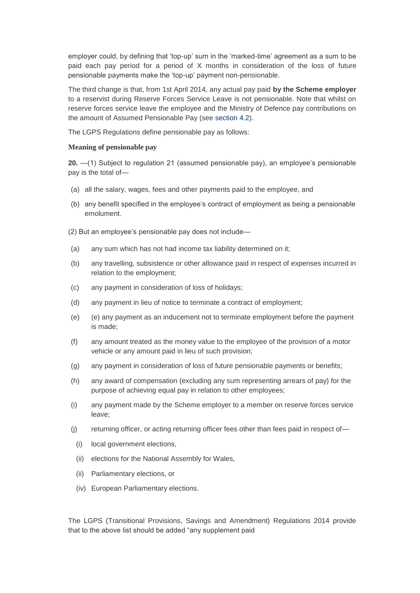employer could, by defining that 'top-up' sum in the 'marked-time' agreement as a sum to be paid each pay period for a period of X months in consideration of the loss of future pensionable payments make the 'top-up' payment non-pensionable.

The third change is that, from 1st April 2014, any actual pay paid **by the Scheme employer** to a reservist during Reserve Forces Service Leave is not pensionable. Note that whilst on reserve forces service leave the employee and the Ministry of Defence pay contributions on the amount of Assumed Pensionable Pay (see [section](http://www.lgpsregs.org/index.php/guides/payroll-guide-to-the-2014-scheme?showall=&start=6) 4.2).

The LGPS Regulations define pensionable pay as follows:

#### **Meaning of pensionable pay**

**20.** —(1) Subject to regulation 21 (assumed pensionable pay), an employee's pensionable pay is the total of—

- (a) all the salary, wages, fees and other payments paid to the employee, and
- (b) any benefit specified in the employee's contract of employment as being a pensionable emolument.

(2) But an employee's pensionable pay does not include—

- (a) any sum which has not had income tax liability determined on it;
- (b) any travelling, subsistence or other allowance paid in respect of expenses incurred in relation to the employment;
- (c) any payment in consideration of loss of holidays;
- (d) any payment in lieu of notice to terminate a contract of employment;
- (e) (e) any payment as an inducement not to terminate employment before the payment is made;
- (f) any amount treated as the money value to the employee of the provision of a motor vehicle or any amount paid in lieu of such provision;
- (g) any payment in consideration of loss of future pensionable payments or benefits;
- (h) any award of compensation (excluding any sum representing arrears of pay) for the purpose of achieving equal pay in relation to other employees;
- (i) any payment made by the Scheme employer to a member on reserve forces service leave;
- (j) returning officer, or acting returning officer fees other than fees paid in respect of—
- (i) local government elections,
- (ii) elections for the National Assembly for Wales,
- (ii) Parliamentary elections, or
- (iv) European Parliamentary elections.

The LGPS (Transitional Provisions, Savings and Amendment) Regulations 2014 provide that to the above list should be added "any supplement paid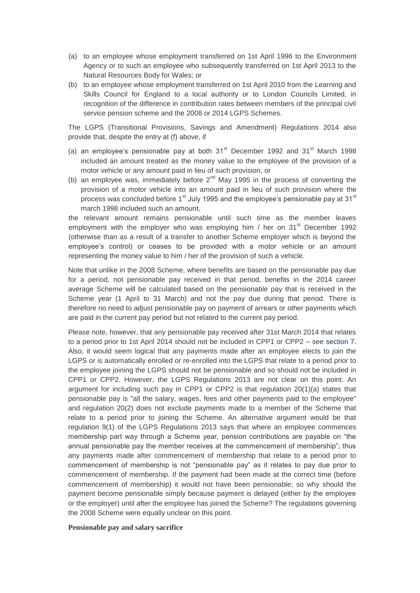- (a) to an employee whose employment transferred on 1st April 1996 to the Environment Agency or to such an employee who subsequently transferred on 1st April 2013 to the Natural Resources Body for Wales; or
- (b) to an employee whose employment transferred on 1st April 2010 from the Learning and Skills Council for England to a local authority or to London Councils Limited, in recognition of the difference in contribution rates between members of the principal civil service pension scheme and the 2008 or 2014 LGPS Schemes.

The LGPS (Transitional Provisions, Savings and Amendment) Regulations 2014 also provide that, despite the entry at (f) above, if

- (a) an employee's pensionable pay at both  $31<sup>st</sup>$  December 1992 and  $31<sup>st</sup>$  March 1998 included an amount treated as the money value to the employee of the provision of a motor vehicle or any amount paid in lieu of such provision, or
- (b) an employee was, immediately before  $2<sup>nd</sup>$  May 1995 in the process of converting the provision of a motor vehicle into an amount paid in lieu of such provision where the process was concluded before  $1<sup>st</sup>$  July 1995 and the employee's pensionable pay at 31 $<sup>st</sup>$ </sup> march 1998 included such an amount,

the relevant amount remains pensionable until such time as the member leaves employment with the employer who was employing him / her on  $31<sup>st</sup>$  December 1992 (otherwise than as a result of a transfer to another Scheme employer which is beyond the employee's control) or ceases to be provided with a motor vehicle or an amount representing the money value to him / her of the provision of such a vehicle.

Note that unlike in the 2008 Scheme, where benefits are based on the pensionable pay due for a period, not pensionable pay received in that period, benefits in the 2014 career average Scheme will be calculated based on the pensionable pay that is received in the Scheme year (1 April to 31 March) and not the pay due during that period. There is therefore no need to adjust pensionable pay on payment of arrears or other payments which are paid in the current pay period but not related to the current pay period.

Please note, however, that any pensionable pay received after 31st March 2014 that relates to a period prior to 1st April 2014 should not be included in CPP1 or CPP2 – see [section 7.](http://www.lgpsregs.org/index.php/guides/payroll-guide-to-the-2014-scheme?showall=&start=16) Also, it would seem logical that any payments made after an employee elects to join the LGPS or is automatically enrolled or re-enrolled into the LGPS that relate to a period prior to the employee joining the LGPS should not be pensionable and so should not be included in CPP1 or CPP2. However, the LGPS Regulations 2013 are not clear on this point. An argument for including such pay in CPP1 or CPP2 is that regulation 20(1)(a) states that pensionable pay is "all the salary, wages, fees and other payments paid to the employee" and regulation 20(2) does not exclude payments made to a member of the Scheme that relate to a period prior to joining the Scheme. An alternative argument would be that regulation 9(1) of the LGPS Regulations 2013 says that where an employee commences membership part way through a Scheme year, pension contributions are payable on "the annual pensionable pay the member receives at the commencement of membership"; thus any payments made after commencement of membership that relate to a period prior to commencement of membership is not "pensionable pay" as it relates to pay due prior to commencement of membership. If the payment had been made at the correct time (before commencement of membership) it would not have been pensionable; so why should the payment become pensionable simply because payment is delayed (either by the employee or the employer) until after the employee has joined the Scheme? The regulations governing the 2008 Scheme were equally unclear on this point.

#### **Pensionable pay and salary sacrifice**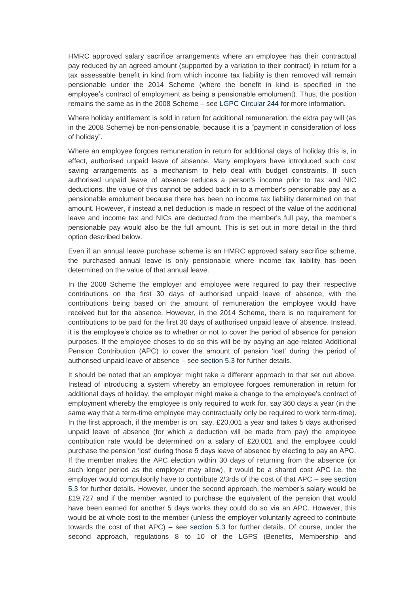HMRC approved salary sacrifice arrangements where an employee has their contractual pay reduced by an agreed amount (supported by a variation to their contract) in return for a tax assessable benefit in kind from which income tax liability is then removed will remain pensionable under the 2014 Scheme (where the benefit in kind is specified in the employee's contract of employment as being a pensionable emolument). Thus, the position remains the same as in the 2008 Scheme – see [LGPC Circular 244](http://www.local.gov.uk/c/document_library/get_file?uuid=f5665e21-e865-4f54-ad18-81f7e5df57bd&groupId=10180) for more information.

Where holiday entitlement is sold in return for additional remuneration, the extra pay will (as in the 2008 Scheme) be non-pensionable, because it is a "payment in consideration of loss of holiday".

Where an employee forgoes remuneration in return for additional days of holiday this is, in effect, authorised unpaid leave of absence. Many employers have introduced such cost saving arrangements as a mechanism to help deal with budget constraints. If such authorised unpaid leave of absence reduces a person's income prior to tax and NIC deductions, the value of this cannot be added back in to a member's pensionable pay as a pensionable emolument because there has been no income tax liability determined on that amount. However, if instead a net deduction is made in respect of the value of the additional leave and income tax and NICs are deducted from the member's full pay, the member's pensionable pay would also be the full amount. This is set out in more detail in the third option described below.

Even if an annual leave purchase scheme is an HMRC approved salary sacrifice scheme, the purchased annual leave is only pensionable where income tax liability has been determined on the value of that annual leave.

In the 2008 Scheme the employer and employee were required to pay their respective contributions on the first 30 days of authorised unpaid leave of absence, with the contributions being based on the amount of remuneration the employee would have received but for the absence. However, in the 2014 Scheme, there is no requirement for contributions to be paid for the first 30 days of authorised unpaid leave of absence. Instead, it is the employee's choice as to whether or not to cover the period of absence for pension purposes. If the employee choses to do so this will be by paying an age-related Additional Pension Contribution (APC) to cover the amount of pension 'lost' during the period of authorised unpaid leave of absence – see [section 5.3](http://www.lgpsregs.org/index.php/guides/payroll-guide-to-the-2014-scheme?showall=&start=10) for further details.

It should be noted that an employer might take a different approach to that set out above. Instead of introducing a system whereby an employee forgoes remuneration in return for additional days of holiday, the employer might make a change to the employee's contract of employment whereby the employee is only required to work for, say 360 days a year (in the same way that a term-time employee may contractually only be required to work term-time). In the first approach, if the member is on, say, £20,001 a year and takes 5 days authorised unpaid leave of absence (for which a deduction will be made from pay) the employee contribution rate would be determined on a salary of £20,001 and the employee could purchase the pension 'lost' during those 5 days leave of absence by electing to pay an APC. If the member makes the APC election within 30 days of returning from the absence (or such longer period as the employer may allow), it would be a shared cost APC i.e. the employer would compulsorily have to contribute 2/3rds of the cost of that APC – see [section](http://www.lgpsregs.org/index.php/guides/payroll-guide-to-the-2014-scheme?showall=&start=10)  [5.3](http://www.lgpsregs.org/index.php/guides/payroll-guide-to-the-2014-scheme?showall=&start=10) for further details. However, under the second approach, the member's salary would be £19,727 and if the member wanted to purchase the equivalent of the pension that would have been earned for another 5 days works they could do so via an APC. However, this would be at whole cost to the member (unless the employer voluntarily agreed to contribute towards the cost of that APC) – see [section 5.3](http://www.lgpsregs.org/index.php/guides/payroll-guide-to-the-2014-scheme?showall=&start=10) for further details. Of course, under the second approach, regulations 8 to 10 of the LGPS (Benefits, Membership and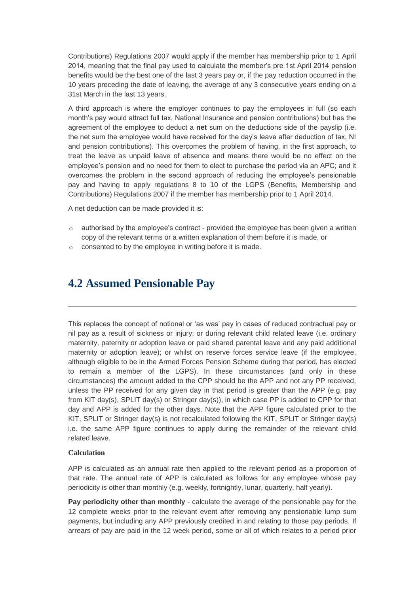Contributions) Regulations 2007 would apply if the member has membership prior to 1 April 2014, meaning that the final pay used to calculate the member's pre 1st April 2014 pension benefits would be the best one of the last 3 years pay or, if the pay reduction occurred in the 10 years preceding the date of leaving, the average of any 3 consecutive years ending on a 31st March in the last 13 years.

A third approach is where the employer continues to pay the employees in full (so each month's pay would attract full tax, National Insurance and pension contributions) but has the agreement of the employee to deduct a **net** sum on the deductions side of the payslip (i.e. the net sum the employee would have received for the day's leave after deduction of tax, NI and pension contributions). This overcomes the problem of having, in the first approach, to treat the leave as unpaid leave of absence and means there would be no effect on the employee's pension and no need for them to elect to purchase the period via an APC; and it overcomes the problem in the second approach of reducing the employee's pensionable pay and having to apply regulations 8 to 10 of the LGPS (Benefits, Membership and Contributions) Regulations 2007 if the member has membership prior to 1 April 2014.

A net deduction can be made provided it is:

- $\circ$  authorised by the employee's contract provided the employee has been given a written copy of the relevant terms or a written explanation of them before it is made, or
- o consented to by the employee in writing before it is made.

### **4.2 Assumed Pensionable Pay**

This replaces the concept of notional or 'as was' pay in cases of reduced contractual pay or nil pay as a result of sickness or injury; or during relevant child related leave (i.e. ordinary maternity, paternity or adoption leave or paid shared parental leave and any paid additional maternity or adoption leave); or whilst on reserve forces service leave (if the employee, although eligible to be in the Armed Forces Pension Scheme during that period, has elected to remain a member of the LGPS). In these circumstances (and only in these circumstances) the amount added to the CPP should be the APP and not any PP received, unless the PP received for any given day in that period is greater than the APP (e.g. pay from KIT day(s), SPLIT day(s) or Stringer day(s)), in which case PP is added to CPP for that day and APP is added for the other days. Note that the APP figure calculated prior to the KIT, SPLIT or Stringer day(s) is not recalculated following the KIT, SPLIT or Stringer day(s) i.e. the same APP figure continues to apply during the remainder of the relevant child related leave.

#### **Calculation**

APP is calculated as an annual rate then applied to the relevant period as a proportion of that rate. The annual rate of APP is calculated as follows for any employee whose pay periodicity is other than monthly (e.g. weekly, fortnightly, lunar, quarterly, half yearly).

**Pay periodicity other than monthly** - calculate the average of the pensionable pay for the 12 complete weeks prior to the relevant event after removing any pensionable lump sum payments, but including any APP previously credited in and relating to those pay periods. If arrears of pay are paid in the 12 week period, some or all of which relates to a period prior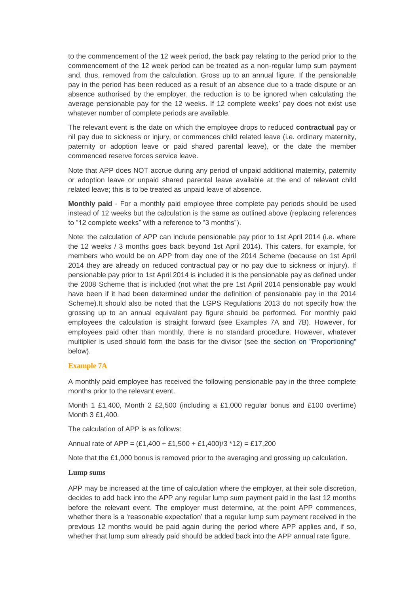to the commencement of the 12 week period, the back pay relating to the period prior to the commencement of the 12 week period can be treated as a non-regular lump sum payment and, thus, removed from the calculation. Gross up to an annual figure. If the pensionable pay in the period has been reduced as a result of an absence due to a trade dispute or an absence authorised by the employer, the reduction is to be ignored when calculating the average pensionable pay for the 12 weeks. If 12 complete weeks' pay does not exist use whatever number of complete periods are available.

The relevant event is the date on which the employee drops to reduced **contractual** pay or nil pay due to sickness or injury, or commences child related leave (i.e. ordinary maternity, paternity or adoption leave or paid shared parental leave), or the date the member commenced reserve forces service leave.

Note that APP does NOT accrue during any period of unpaid additional maternity, paternity or adoption leave or unpaid shared parental leave available at the end of relevant child related leave; this is to be treated as unpaid leave of absence.

**Monthly paid** - For a monthly paid employee three complete pay periods should be used instead of 12 weeks but the calculation is the same as outlined above (replacing references to "12 complete weeks" with a reference to "3 months").

Note: the calculation of APP can include pensionable pay prior to 1st April 2014 (i.e. where the 12 weeks / 3 months goes back beyond 1st April 2014). This caters, for example, for members who would be on APP from day one of the 2014 Scheme (because on 1st April 2014 they are already on reduced contractual pay or no pay due to sickness or injury). If pensionable pay prior to 1st April 2014 is included it is the pensionable pay as defined under the 2008 Scheme that is included (not what the pre 1st April 2014 pensionable pay would have been if it had been determined under the definition of pensionable pay in the 2014 Scheme).It should also be noted that the LGPS Regulations 2013 do not specify how the grossing up to an annual equivalent pay figure should be performed. For monthly paid employees the calculation is straight forward (see Examples 7A and 7B). However, for employees paid other than monthly, there is no standard procedure. However, whatever multiplier is used should form the basis for the divisor (see the [section on "Proportioning"](http://www.lgpsregs.org/index.php/guides/payroll-guide-to-the-2014-scheme?showall=&start=6#proportioning) below).

#### **Example 7A**

A monthly paid employee has received the following pensionable pay in the three complete months prior to the relevant event.

Month 1 £1,400, Month 2 £2,500 (including a £1,000 regular bonus and £100 overtime) Month 3 £1,400.

The calculation of APP is as follows:

Annual rate of APP =  $(E1,400 + E1,500 + E1,400)/3$  \*12) = £17,200

Note that the £1,000 bonus is removed prior to the averaging and grossing up calculation.

#### **Lump sums**

APP may be increased at the time of calculation where the employer, at their sole discretion, decides to add back into the APP any regular lump sum payment paid in the last 12 months before the relevant event. The employer must determine, at the point APP commences, whether there is a 'reasonable expectation' that a regular lump sum payment received in the previous 12 months would be paid again during the period where APP applies and, if so, whether that lump sum already paid should be added back into the APP annual rate figure.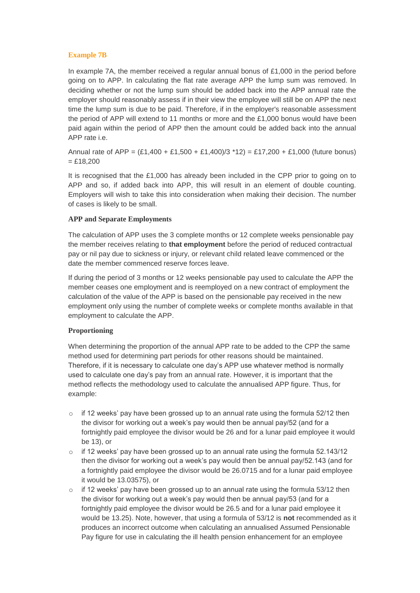#### **Example 7B**

In example 7A, the member received a regular annual bonus of £1,000 in the period before going on to APP. In calculating the flat rate average APP the lump sum was removed. In deciding whether or not the lump sum should be added back into the APP annual rate the employer should reasonably assess if in their view the employee will still be on APP the next time the lump sum is due to be paid. Therefore, if in the employer's reasonable assessment the period of APP will extend to 11 months or more and the £1,000 bonus would have been paid again within the period of APP then the amount could be added back into the annual APP rate i.e.

Annual rate of APP =  $(E1.400 + E1.500 + E1.400)/3$  \*12) = £17,200 + £1,000 (future bonus)  $= £18,200$ 

It is recognised that the £1,000 has already been included in the CPP prior to going on to APP and so, if added back into APP, this will result in an element of double counting. Employers will wish to take this into consideration when making their decision. The number of cases is likely to be small.

#### **APP and Separate Employments**

The calculation of APP uses the 3 complete months or 12 complete weeks pensionable pay the member receives relating to **that employment** before the period of reduced contractual pay or nil pay due to sickness or injury, or relevant child related leave commenced or the date the member commenced reserve forces leave.

If during the period of 3 months or 12 weeks pensionable pay used to calculate the APP the member ceases one employment and is reemployed on a new contract of employment the calculation of the value of the APP is based on the pensionable pay received in the new employment only using the number of complete weeks or complete months available in that employment to calculate the APP.

#### **Proportioning**

When determining the proportion of the annual APP rate to be added to the CPP the same method used for determining part periods for other reasons should be maintained. Therefore, if it is necessary to calculate one day's APP use whatever method is normally used to calculate one day's pay from an annual rate. However, it is important that the method reflects the methodology used to calculate the annualised APP figure. Thus, for example:

- $\circ$  if 12 weeks' pay have been grossed up to an annual rate using the formula 52/12 then the divisor for working out a week's pay would then be annual pay/52 (and for a fortnightly paid employee the divisor would be 26 and for a lunar paid employee it would be 13), or
- $\circ$  if 12 weeks' pay have been grossed up to an annual rate using the formula 52.143/12 then the divisor for working out a week's pay would then be annual pay/52.143 (and for a fortnightly paid employee the divisor would be 26.0715 and for a lunar paid employee it would be 13.03575), or
- $\circ$  if 12 weeks' pay have been grossed up to an annual rate using the formula 53/12 then the divisor for working out a week's pay would then be annual pay/53 (and for a fortnightly paid employee the divisor would be 26.5 and for a lunar paid employee it would be 13.25). Note, however, that using a formula of 53/12 is **not** recommended as it produces an incorrect outcome when calculating an annualised Assumed Pensionable Pay figure for use in calculating the ill health pension enhancement for an employee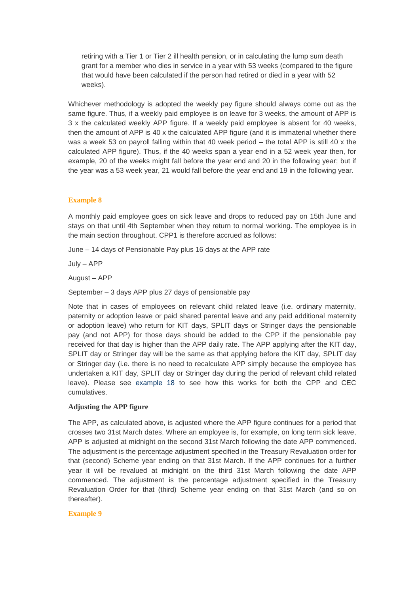retiring with a Tier 1 or Tier 2 ill health pension, or in calculating the lump sum death grant for a member who dies in service in a year with 53 weeks (compared to the figure that would have been calculated if the person had retired or died in a year with 52 weeks).

Whichever methodology is adopted the weekly pay figure should always come out as the same figure. Thus, if a weekly paid employee is on leave for 3 weeks, the amount of APP is 3 x the calculated weekly APP figure. If a weekly paid employee is absent for 40 weeks, then the amount of APP is 40 x the calculated APP figure (and it is immaterial whether there was a week 53 on payroll falling within that 40 week period – the total APP is still 40 x the calculated APP figure). Thus, if the 40 weeks span a year end in a 52 week year then, for example, 20 of the weeks might fall before the year end and 20 in the following year; but if the year was a 53 week year, 21 would fall before the year end and 19 in the following year.

#### **Example 8**

A monthly paid employee goes on sick leave and drops to reduced pay on 15th June and stays on that until 4th September when they return to normal working. The employee is in the main section throughout. CPP1 is therefore accrued as follows:

June – 14 days of Pensionable Pay plus 16 days at the APP rate

July – APP

August – APP

September – 3 days APP plus 27 days of pensionable pay

Note that in cases of employees on relevant child related leave (i.e. ordinary maternity, paternity or adoption leave or paid shared parental leave and any paid additional maternity or adoption leave) who return for KIT days, SPLIT days or Stringer days the pensionable pay (and not APP) for those days should be added to the CPP if the pensionable pay received for that day is higher than the APP daily rate. The APP applying after the KIT day, SPLIT day or Stringer day will be the same as that applying before the KIT day, SPLIT day or Stringer day (i.e. there is no need to recalculate APP simply because the employee has undertaken a KIT day, SPLIT day or Stringer day during the period of relevant child related leave). Please see [example 18](http://www.lgpsregs.org/index.php/guides/payroll-guide-to-the-2014-scheme?showall=&start=8#e18) to see how this works for both the CPP and CEC cumulatives.

#### **Adjusting the APP figure**

The APP, as calculated above, is adjusted where the APP figure continues for a period that crosses two 31st March dates. Where an employee is, for example, on long term sick leave, APP is adjusted at midnight on the second 31st March following the date APP commenced. The adjustment is the percentage adjustment specified in the Treasury Revaluation order for that (second) Scheme year ending on that 31st March. If the APP continues for a further year it will be revalued at midnight on the third 31st March following the date APP commenced. The adjustment is the percentage adjustment specified in the Treasury Revaluation Order for that (third) Scheme year ending on that 31st March (and so on thereafter).

#### **Example 9**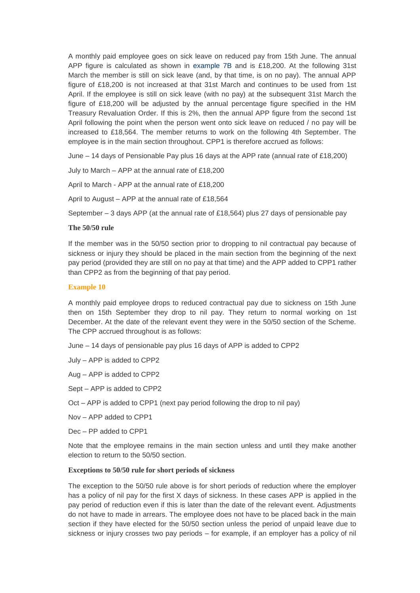A monthly paid employee goes on sick leave on reduced pay from 15th June. The annual APP figure is calculated as shown in [example 7B](http://www.lgpsregs.org/index.php/guides/payroll-guide-to-the-2014-scheme?showall=&start=6#e7B) and is £18,200. At the following 31st March the member is still on sick leave (and, by that time, is on no pay). The annual APP figure of £18,200 is not increased at that 31st March and continues to be used from 1st April. If the employee is still on sick leave (with no pay) at the subsequent 31st March the figure of £18,200 will be adjusted by the annual percentage figure specified in the HM Treasury Revaluation Order. If this is 2%, then the annual APP figure from the second 1st April following the point when the person went onto sick leave on reduced / no pay will be increased to £18,564. The member returns to work on the following 4th September. The employee is in the main section throughout. CPP1 is therefore accrued as follows:

June – 14 days of Pensionable Pay plus 16 days at the APP rate (annual rate of £18,200)

July to March – APP at the annual rate of £18,200

April to March - APP at the annual rate of £18,200

April to August – APP at the annual rate of £18,564

September  $-3$  days APP (at the annual rate of £18,564) plus 27 days of pensionable pay

#### **The 50/50 rule**

If the member was in the 50/50 section prior to dropping to nil contractual pay because of sickness or injury they should be placed in the main section from the beginning of the next pay period (provided they are still on no pay at that time) and the APP added to CPP1 rather than CPP2 as from the beginning of that pay period.

#### **Example 10**

A monthly paid employee drops to reduced contractual pay due to sickness on 15th June then on 15th September they drop to nil pay. They return to normal working on 1st December. At the date of the relevant event they were in the 50/50 section of the Scheme. The CPP accrued throughout is as follows:

- June 14 days of pensionable pay plus 16 days of APP is added to CPP2
- July APP is added to CPP2
- Aug APP is added to CPP2
- Sept APP is added to CPP2
- Oct APP is added to CPP1 (next pay period following the drop to nil pay)
- Nov APP added to CPP1
- Dec PP added to CPP1

Note that the employee remains in the main section unless and until they make another election to return to the 50/50 section.

#### **Exceptions to 50/50 rule for short periods of sickness**

The exception to the 50/50 rule above is for short periods of reduction where the employer has a policy of nil pay for the first X days of sickness. In these cases APP is applied in the pay period of reduction even if this is later than the date of the relevant event. Adjustments do not have to made in arrears. The employee does not have to be placed back in the main section if they have elected for the 50/50 section unless the period of unpaid leave due to sickness or injury crosses two pay periods – for example, if an employer has a policy of nil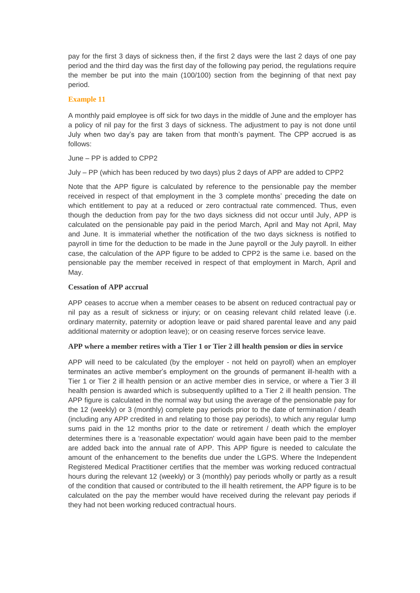pay for the first 3 days of sickness then, if the first 2 days were the last 2 days of one pay period and the third day was the first day of the following pay period, the regulations require the member be put into the main (100/100) section from the beginning of that next pay period.

#### **Example 11**

A monthly paid employee is off sick for two days in the middle of June and the employer has a policy of nil pay for the first 3 days of sickness. The adjustment to pay is not done until July when two day's pay are taken from that month's payment. The CPP accrued is as follows:

#### June – PP is added to CPP2

July – PP (which has been reduced by two days) plus 2 days of APP are added to CPP2

Note that the APP figure is calculated by reference to the pensionable pay the member received in respect of that employment in the 3 complete months' preceding the date on which entitlement to pay at a reduced or zero contractual rate commenced. Thus, even though the deduction from pay for the two days sickness did not occur until July, APP is calculated on the pensionable pay paid in the period March, April and May not April, May and June. It is immaterial whether the notification of the two days sickness is notified to payroll in time for the deduction to be made in the June payroll or the July payroll. In either case, the calculation of the APP figure to be added to CPP2 is the same i.e. based on the pensionable pay the member received in respect of that employment in March, April and May.

#### **Cessation of APP accrual**

APP ceases to accrue when a member ceases to be absent on reduced contractual pay or nil pay as a result of sickness or injury; or on ceasing relevant child related leave (i.e. ordinary maternity, paternity or adoption leave or paid shared parental leave and any paid additional maternity or adoption leave); or on ceasing reserve forces service leave.

#### **APP where a member retires with a Tier 1 or Tier 2 ill health pension or dies in service**

APP will need to be calculated (by the employer - not held on payroll) when an employer terminates an active member's employment on the grounds of permanent ill-health with a Tier 1 or Tier 2 ill health pension or an active member dies in service, or where a Tier 3 ill health pension is awarded which is subsequently uplifted to a Tier 2 ill health pension. The APP figure is calculated in the normal way but using the average of the pensionable pay for the 12 (weekly) or 3 (monthly) complete pay periods prior to the date of termination / death (including any APP credited in and relating to those pay periods), to which any regular lump sums paid in the 12 months prior to the date or retirement / death which the employer determines there is a 'reasonable expectation' would again have been paid to the member are added back into the annual rate of APP. This APP figure is needed to calculate the amount of the enhancement to the benefits due under the LGPS. Where the Independent Registered Medical Practitioner certifies that the member was working reduced contractual hours during the relevant 12 (weekly) or 3 (monthly) pay periods wholly or partly as a result of the condition that caused or contributed to the ill health retirement, the APP figure is to be calculated on the pay the member would have received during the relevant pay periods if they had not been working reduced contractual hours.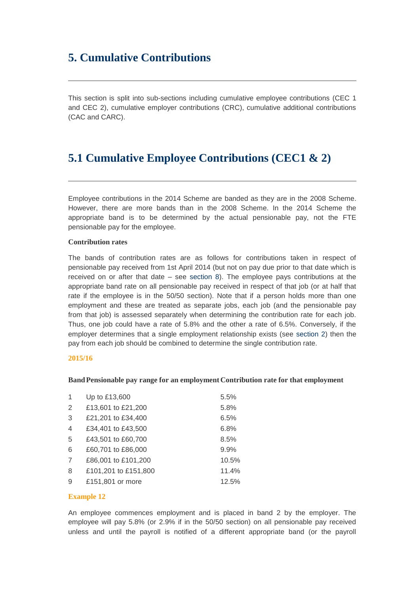# **5. Cumulative Contributions**

This section is split into sub-sections including cumulative employee contributions (CEC 1 and CEC 2), cumulative employer contributions (CRC), cumulative additional contributions (CAC and CARC).

# **5.1 Cumulative Employee Contributions (CEC1 & 2)**

Employee contributions in the 2014 Scheme are banded as they are in the 2008 Scheme. However, there are more bands than in the 2008 Scheme. In the 2014 Scheme the appropriate band is to be determined by the actual pensionable pay, not the FTE pensionable pay for the employee.

#### **Contribution rates**

The bands of contribution rates are as follows for contributions taken in respect of pensionable pay received from 1st April 2014 (but not on pay due prior to that date which is received on or after that date – see [section 8\)](http://www.lgpsregs.org/index.php/guides/payroll-guide-to-the-2014-scheme?showall=&start=17). The employee pays contributions at the appropriate band rate on all pensionable pay received in respect of that job (or at half that rate if the employee is in the 50/50 section). Note that if a person holds more than one employment and these are treated as separate jobs, each job (and the pensionable pay from that job) is assessed separately when determining the contribution rate for each job. Thus, one job could have a rate of 5.8% and the other a rate of 6.5%. Conversely, if the employer determines that a single employment relationship exists (see [section 2\)](http://www.lgpsregs.org/index.php/guides/payroll-guide-to-the-2014-scheme?showall=&start=2) then the pay from each job should be combined to determine the single contribution rate.

#### **2015/16**

#### **BandPensionable pay range for an employment Contribution rate for that employment**

| 1              | Up to £13,600        | 5.5%  |
|----------------|----------------------|-------|
| $\overline{2}$ | £13,601 to £21,200   | 5.8%  |
| 3              | £21,201 to £34,400   | 6.5%  |
| 4              | £34,401 to £43,500   | 6.8%  |
| 5              | £43,501 to £60,700   | 8.5%  |
| 6              | £60,701 to £86,000   | 9.9%  |
| 7              | £86,001 to £101,200  | 10.5% |
| 8              | £101,201 to £151,800 | 11.4% |
| 9              | £151,801 or more     | 12.5% |
|                |                      |       |

#### **Example 12**

An employee commences employment and is placed in band 2 by the employer. The employee will pay 5.8% (or 2.9% if in the 50/50 section) on all pensionable pay received unless and until the payroll is notified of a different appropriate band (or the payroll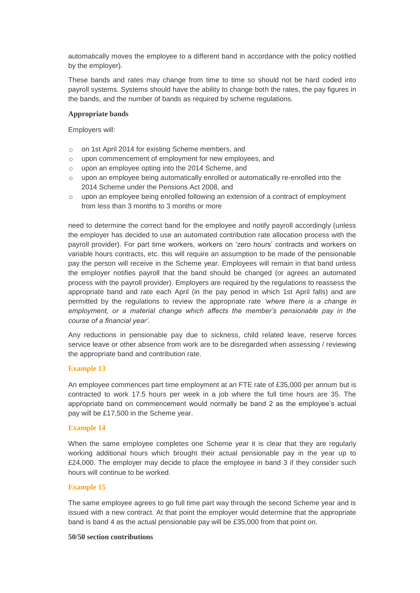automatically moves the employee to a different band in accordance with the policy notified by the employer).

These bands and rates may change from time to time so should not be hard coded into payroll systems. Systems should have the ability to change both the rates, the pay figures in the bands, and the number of bands as required by scheme regulations.

#### **Appropriate bands**

Employers will:

- o on 1st April 2014 for existing Scheme members, and
- o upon commencement of employment for new employees, and
- o upon an employee opting into the 2014 Scheme, and
- $\circ$  upon an employee being automatically enrolled or automatically re-enrolled into the 2014 Scheme under the Pensions Act 2008, and
- o upon an employee being enrolled following an extension of a contract of employment from less than 3 months to 3 months or more

need to determine the correct band for the employee and notify payroll accordingly (unless the employer has decided to use an automated contribution rate allocation process with the payroll provider). For part time workers, workers on 'zero hours' contracts and workers on variable hours contracts, etc. this will require an assumption to be made of the pensionable pay the person will receive in the Scheme year. Employees will remain in that band unless the employer notifies payroll that the band should be changed (or agrees an automated process with the payroll provider). Employers are required by the regulations to reassess the appropriate band and rate each April (in the pay period in which 1st April falls) and are permitted by the regulations to review the appropriate rate *'where there is a change in employment, or a material change which affects the member's pensionable pay in the course of a financial year'.* 

Any reductions in pensionable pay due to sickness, child related leave, reserve forces service leave or other absence from work are to be disregarded when assessing / reviewing the appropriate band and contribution rate.

#### **Example 13**

An employee commences part time employment at an FTE rate of £35,000 per annum but is contracted to work 17.5 hours per week in a job where the full time hours are 35. The appropriate band on commencement would normally be band 2 as the employee's actual pay will be £17,500 in the Scheme year.

#### **Example 14**

When the same employee completes one Scheme year it is clear that they are regularly working additional hours which brought their actual pensionable pay in the year up to £24,000. The employer may decide to place the employee in band 3 if they consider such hours will continue to be worked.

#### **Example 15**

The same employee agrees to go full time part way through the second Scheme year and is issued with a new contract. At that point the employer would determine that the appropriate band is band 4 as the actual pensionable pay will be £35,000 from that point on.

#### **50/50 section contributions**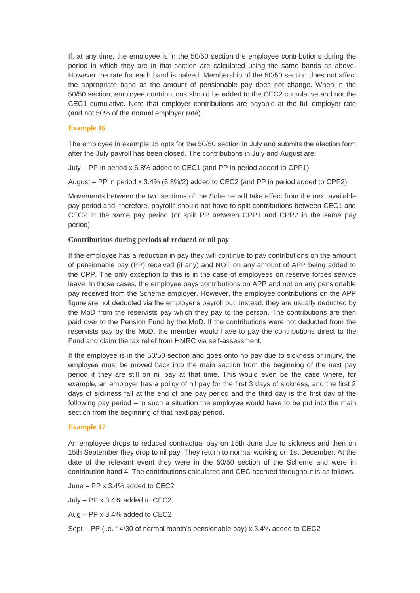If, at any time, the employee is in the 50/50 section the employee contributions during the period in which they are in that section are calculated using the same bands as above. However the rate for each band is halved. Membership of the 50/50 section does not affect the appropriate band as the amount of pensionable pay does not change. When in the 50/50 section, employee contributions should be added to the CEC2 cumulative and not the CEC1 cumulative. Note that employer contributions are payable at the full employer rate (and not 50% of the normal employer rate).

#### **Example 16**

The employee in example 15 opts for the 50/50 section in July and submits the election form after the July payroll has been closed. The contributions in July and August are:

July – PP in period x 6.8% added to CEC1 (and PP in period added to CPP1)

August – PP in period x 3.4% (6.8%/2) added to CEC2 (and PP in period added to CPP2)

Movements between the two sections of the Scheme will take effect from the next available pay period and, therefore, payrolls should not have to split contributions between CEC1 and CEC2 in the same pay period (or split PP between CPP1 and CPP2 in the same pay period).

#### **Contributions during periods of reduced or nil pay**

If the employee has a reduction in pay they will continue to pay contributions on the amount of pensionable pay (PP) received (if any) and NOT on any amount of APP being added to the CPP. The only exception to this is in the case of employees on reserve forces service leave. In those cases, the employee pays contributions on APP and not on any pensionable pay received from the Scheme employer. However, the employee contributions on the APP figure are not deducted via the employer's payroll but, instead, they are usually deducted by the MoD from the reservists pay which they pay to the person. The contributions are then paid over to the Pension Fund by the MoD. If the contributions were not deducted from the reservists pay by the MoD, the member would have to pay the contributions direct to the Fund and claim the tax relief from HMRC via self-assessment.

If the employee is in the 50/50 section and goes onto no pay due to sickness or injury, the employee must be moved back into the main section from the beginning of the next pay period if they are still on nil pay at that time. This would even be the case where, for example, an employer has a policy of nil pay for the first 3 days of sickness, and the first 2 days of sickness fall at the end of one pay period and the third day is the first day of the following pay period – in such a situation the employee would have to be put into the main section from the beginning of that next pay period.

#### **Example 17**

An employee drops to reduced contractual pay on 15th June due to sickness and then on 15th September they drop to nil pay. They return to normal working on 1st December. At the date of the relevant event they were in the 50/50 section of the Scheme and were in contribution band 4. The contributions calculated and CEC accrued throughout is as follows.

June – PP x 3.4% added to CEC2

July – PP x 3.4% added to CEC2

Aug – PP x 3.4% added to CEC2

Sept – PP (i.e. 14/30 of normal month's pensionable pay) x 3.4% added to CEC2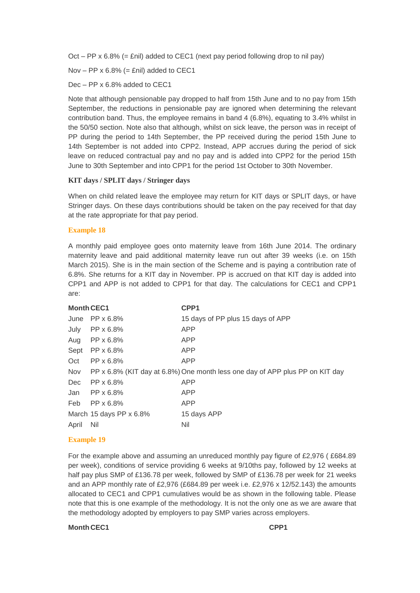Oct – PP x 6.8% (= £nil) added to CEC1 (next pay period following drop to nil pay)

Nov – PP  $x 6.8%$  (= £nil) added to CEC1

Dec – PP x 6.8% added to CEC1

Note that although pensionable pay dropped to half from 15th June and to no pay from 15th September, the reductions in pensionable pay are ignored when determining the relevant contribution band. Thus, the employee remains in band 4 (6.8%), equating to 3.4% whilst in the 50/50 section. Note also that although, whilst on sick leave, the person was in receipt of PP during the period to 14th September, the PP received during the period 15th June to 14th September is not added into CPP2. Instead, APP accrues during the period of sick leave on reduced contractual pay and no pay and is added into CPP2 for the period 15th June to 30th September and into CPP1 for the period 1st October to 30th November.

#### **KIT days / SPLIT days / Stringer days**

When on child related leave the employee may return for KIT days or SPLIT days, or have Stringer days. On these days contributions should be taken on the pay received for that day at the rate appropriate for that pay period.

#### **Example 18**

A monthly paid employee goes onto maternity leave from 16th June 2014. The ordinary maternity leave and paid additional maternity leave run out after 39 weeks (i.e. on 15th March 2015). She is in the main section of the Scheme and is paying a contribution rate of 6.8%. She returns for a KIT day in November. PP is accrued on that KIT day is added into CPP1 and APP is not added to CPP1 for that day. The calculations for CEC1 and CPP1 are:

| <b>Month CEC1</b> |                         | CPP1                                                                         |
|-------------------|-------------------------|------------------------------------------------------------------------------|
|                   | June $PP \times 6.8\%$  | 15 days of PP plus 15 days of APP                                            |
| July              | PP x 6.8%               | <b>APP</b>                                                                   |
| Aug               | PP x 6.8%               | <b>APP</b>                                                                   |
| Sept              | PP x 6.8%               | <b>APP</b>                                                                   |
| Oct               | PP x 6.8%               | APP                                                                          |
| Nov               |                         | PP x 6.8% (KIT day at 6.8%) One month less one day of APP plus PP on KIT day |
| Dec               | PP x 6.8%               | <b>APP</b>                                                                   |
| Jan               | PP x 6.8%               | <b>APP</b>                                                                   |
| Feb               | PP x 6.8%               | <b>APP</b>                                                                   |
|                   | March 15 days PP x 6.8% | 15 days APP                                                                  |
| April             | Nil                     | Nil                                                                          |
|                   |                         |                                                                              |

#### **Example 19**

For the example above and assuming an unreduced monthly pay figure of £2,976 ( £684.89 per week), conditions of service providing 6 weeks at 9/10ths pay, followed by 12 weeks at half pay plus SMP of £136.78 per week, followed by SMP of £136.78 per week for 21 weeks and an APP monthly rate of £2,976 (£684.89 per week i.e. £2,976 x 12/52.143) the amounts allocated to CEC1 and CPP1 cumulatives would be as shown in the following table. Please note that this is one example of the methodology. It is not the only one as we are aware that the methodology adopted by employers to pay SMP varies across employers.

#### **Month CEC1 CPP1**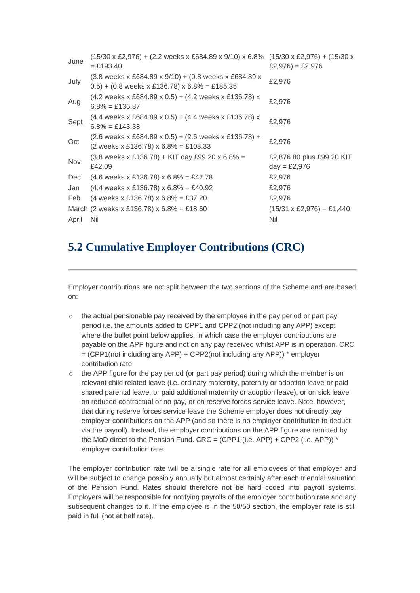| June  | $(15/30 \times \text{\pounds}2,976) + (2.2 \text{ weeks} \times \text{\pounds}684.89 \times 9/10) \times 6.8\%$<br>$=$ £193.40                                       | $(15/30 \times \text{\pounds}2,976) + (15/30 \times$<br>$£2,976) = £2,976$ |
|-------|----------------------------------------------------------------------------------------------------------------------------------------------------------------------|----------------------------------------------------------------------------|
| July  | $(3.8$ weeks x £684.89 x 9/10) + (0.8 weeks x £684.89 x<br>$(0.5) + (0.8 \text{ weeks} \times \text{\textsterling}136.78) \times 6.8\% = \text{\textsterling}185.35$ | £2,976                                                                     |
| Aug   | $(4.2 \text{ weeks} \times \text{\pounds}684.89 \times 0.5) + (4.2 \text{ weeks} \times \text{\pounds}136.78)$ x<br>$6.8\% = £136.87$                                | £2,976                                                                     |
| Sept  | (4.4 weeks x £684.89 x 0.5) + (4.4 weeks x £136.78) x<br>$6.8\% = £143.38$                                                                                           | £2,976                                                                     |
| Oct   | $(2.6$ weeks x £684.89 x 0.5) + (2.6 weeks x £136.78) +<br>$(2 \text{ weeks} \times \text{\pounds}136.78) \times 6.8\% = \text{\pounds}103.33$                       | £2,976                                                                     |
| Nov   | $(3.8 \text{ weeks} \times \text{\pounds}136.78) + \text{KIT day } \text{\pounds}99.20 \times 6.8\% =$<br>£42.09                                                     | £2,876.80 plus £99.20 KIT<br>$day = £2,976$                                |
| Dec   | $(4.6 \text{ weeks} \times \text{\textsterling}136.78) \times 6.8\% = \text{\textsterling}42.78$                                                                     | £2,976                                                                     |
| Jan   | $(4.4 \text{ weeks} \times \text{\pounds}136.78) \times 6.8\% = \text{\pounds}40.92$                                                                                 | £2,976                                                                     |
| Feb   | (4 weeks x £136.78) x $6.8\%$ = £37.20                                                                                                                               | £2,976                                                                     |
|       | March (2 weeks x £136.78) x $6.8\% = \text{\pounds}18.60$                                                                                                            | $(15/31 \times \text{\pounds}2,976) = \text{\pounds}1,440$                 |
| April | Nil                                                                                                                                                                  | Nil                                                                        |
|       |                                                                                                                                                                      |                                                                            |

# **5.2 Cumulative Employer Contributions (CRC)**

Employer contributions are not split between the two sections of the Scheme and are based on:

- $\circ$  the actual pensionable pay received by the employee in the pay period or part pay period i.e. the amounts added to CPP1 and CPP2 (not including any APP) except where the bullet point below applies, in which case the employer contributions are payable on the APP figure and not on any pay received whilst APP is in operation. CRC  $=$  (CPP1(not including any APP) + CPP2(not including any APP))  $*$  employer contribution rate
- o the APP figure for the pay period (or part pay period) during which the member is on relevant child related leave (i.e. ordinary maternity, paternity or adoption leave or paid shared parental leave, or paid additional maternity or adoption leave), or on sick leave on reduced contractual or no pay, or on reserve forces service leave. Note, however, that during reserve forces service leave the Scheme employer does not directly pay employer contributions on the APP (and so there is no employer contribution to deduct via the payroll). Instead, the employer contributions on the APP figure are remitted by the MoD direct to the Pension Fund.  $CRC = (CPP1$  (i.e. APP) +  $CPP2$  (i.e. APP)) \* employer contribution rate

The employer contribution rate will be a single rate for all employees of that employer and will be subject to change possibly annually but almost certainly after each triennial valuation of the Pension Fund. Rates should therefore not be hard coded into payroll systems. Employers will be responsible for notifying payrolls of the employer contribution rate and any subsequent changes to it. If the employee is in the 50/50 section, the employer rate is still paid in full (not at half rate).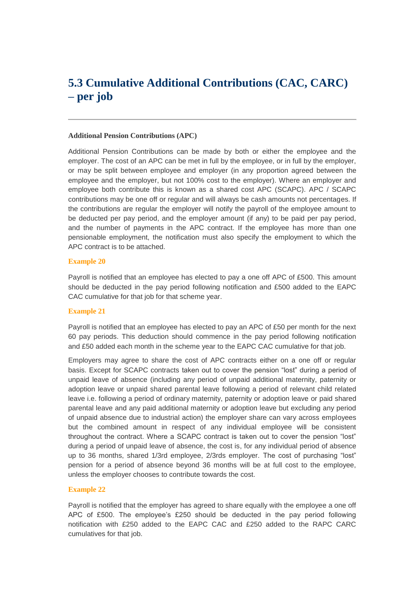# **5.3 Cumulative Additional Contributions (CAC, CARC) – per job**

#### **Additional Pension Contributions (APC)**

Additional Pension Contributions can be made by both or either the employee and the employer. The cost of an APC can be met in full by the employee, or in full by the employer, or may be split between employee and employer (in any proportion agreed between the employee and the employer, but not 100% cost to the employer). Where an employer and employee both contribute this is known as a shared cost APC (SCAPC). APC / SCAPC contributions may be one off or regular and will always be cash amounts not percentages. If the contributions are regular the employer will notify the payroll of the employee amount to be deducted per pay period, and the employer amount (if any) to be paid per pay period, and the number of payments in the APC contract. If the employee has more than one pensionable employment, the notification must also specify the employment to which the APC contract is to be attached.

#### **Example 20**

Payroll is notified that an employee has elected to pay a one off APC of £500. This amount should be deducted in the pay period following notification and £500 added to the EAPC CAC cumulative for that job for that scheme year.

#### **Example 21**

Payroll is notified that an employee has elected to pay an APC of £50 per month for the next 60 pay periods. This deduction should commence in the pay period following notification and £50 added each month in the scheme year to the EAPC CAC cumulative for that job.

Employers may agree to share the cost of APC contracts either on a one off or regular basis. Except for SCAPC contracts taken out to cover the pension "lost" during a period of unpaid leave of absence (including any period of unpaid additional maternity, paternity or adoption leave or unpaid shared parental leave following a period of relevant child related leave i.e. following a period of ordinary maternity, paternity or adoption leave or paid shared parental leave and any paid additional maternity or adoption leave but excluding any period of unpaid absence due to industrial action) the employer share can vary across employees but the combined amount in respect of any individual employee will be consistent throughout the contract. Where a SCAPC contract is taken out to cover the pension "lost" during a period of unpaid leave of absence, the cost is, for any individual period of absence up to 36 months, shared 1/3rd employee, 2/3rds employer. The cost of purchasing "lost" pension for a period of absence beyond 36 months will be at full cost to the employee, unless the employer chooses to contribute towards the cost.

#### **Example 22**

Payroll is notified that the employer has agreed to share equally with the employee a one off APC of £500. The employee's £250 should be deducted in the pay period following notification with £250 added to the EAPC CAC and £250 added to the RAPC CARC cumulatives for that job.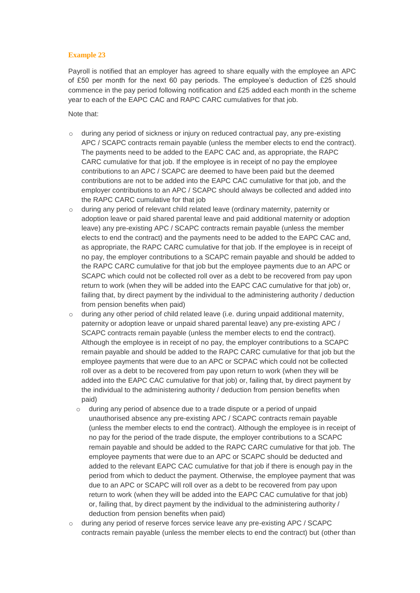#### **Example 23**

Payroll is notified that an employer has agreed to share equally with the employee an APC of £50 per month for the next 60 pay periods. The employee's deduction of £25 should commence in the pay period following notification and £25 added each month in the scheme year to each of the EAPC CAC and RAPC CARC cumulatives for that job.

Note that:

- o during any period of sickness or injury on reduced contractual pay, any pre-existing APC / SCAPC contracts remain payable (unless the member elects to end the contract). The payments need to be added to the EAPC CAC and, as appropriate, the RAPC CARC cumulative for that job. If the employee is in receipt of no pay the employee contributions to an APC / SCAPC are deemed to have been paid but the deemed contributions are not to be added into the EAPC CAC cumulative for that job, and the employer contributions to an APC / SCAPC should always be collected and added into the RAPC CARC cumulative for that job
- $\circ$  during any period of relevant child related leave (ordinary maternity, paternity or adoption leave or paid shared parental leave and paid additional maternity or adoption leave) any pre-existing APC / SCAPC contracts remain payable (unless the member elects to end the contract) and the payments need to be added to the EAPC CAC and, as appropriate, the RAPC CARC cumulative for that job. If the employee is in receipt of no pay, the employer contributions to a SCAPC remain payable and should be added to the RAPC CARC cumulative for that job but the employee payments due to an APC or SCAPC which could not be collected roll over as a debt to be recovered from pay upon return to work (when they will be added into the EAPC CAC cumulative for that job) or, failing that, by direct payment by the individual to the administering authority / deduction from pension benefits when paid)
- $\circ$  during any other period of child related leave (i.e. during unpaid additional maternity, paternity or adoption leave or unpaid shared parental leave) any pre-existing APC / SCAPC contracts remain payable (unless the member elects to end the contract). Although the employee is in receipt of no pay, the employer contributions to a SCAPC remain payable and should be added to the RAPC CARC cumulative for that job but the employee payments that were due to an APC or SCPAC which could not be collected roll over as a debt to be recovered from pay upon return to work (when they will be added into the EAPC CAC cumulative for that job) or, failing that, by direct payment by the individual to the administering authority / deduction from pension benefits when paid)
	- $\circ$  during any period of absence due to a trade dispute or a period of unpaid unauthorised absence any pre-existing APC / SCAPC contracts remain payable (unless the member elects to end the contract). Although the employee is in receipt of no pay for the period of the trade dispute, the employer contributions to a SCAPC remain payable and should be added to the RAPC CARC cumulative for that job. The employee payments that were due to an APC or SCAPC should be deducted and added to the relevant EAPC CAC cumulative for that job if there is enough pay in the period from which to deduct the payment. Otherwise, the employee payment that was due to an APC or SCAPC will roll over as a debt to be recovered from pay upon return to work (when they will be added into the EAPC CAC cumulative for that job) or, failing that, by direct payment by the individual to the administering authority / deduction from pension benefits when paid)
- o during any period of reserve forces service leave any pre-existing APC / SCAPC contracts remain payable (unless the member elects to end the contract) but (other than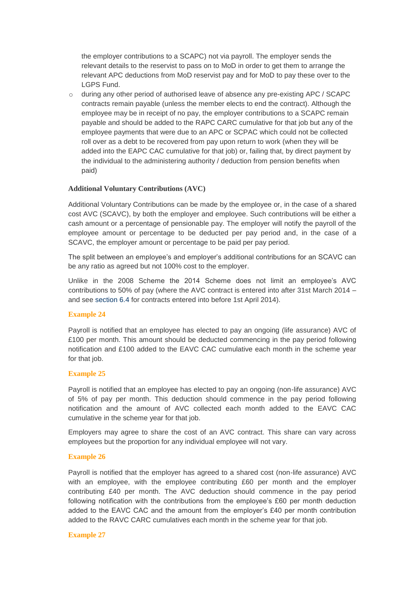the employer contributions to a SCAPC) not via payroll. The employer sends the relevant details to the reservist to pass on to MoD in order to get them to arrange the relevant APC deductions from MoD reservist pay and for MoD to pay these over to the LGPS Fund.

 $\circ$  during any other period of authorised leave of absence any pre-existing APC / SCAPC contracts remain payable (unless the member elects to end the contract). Although the employee may be in receipt of no pay, the employer contributions to a SCAPC remain payable and should be added to the RAPC CARC cumulative for that job but any of the employee payments that were due to an APC or SCPAC which could not be collected roll over as a debt to be recovered from pay upon return to work (when they will be added into the EAPC CAC cumulative for that job) or, failing that, by direct payment by the individual to the administering authority / deduction from pension benefits when paid)

#### **Additional Voluntary Contributions (AVC)**

Additional Voluntary Contributions can be made by the employee or, in the case of a shared cost AVC (SCAVC), by both the employer and employee. Such contributions will be either a cash amount or a percentage of pensionable pay. The employer will notify the payroll of the employee amount or percentage to be deducted per pay period and, in the case of a SCAVC, the employer amount or percentage to be paid per pay period.

The split between an employee's and employer's additional contributions for an SCAVC can be any ratio as agreed but not 100% cost to the employer.

Unlike in the 2008 Scheme the 2014 Scheme does not limit an employee's AVC contributions to 50% of pay (where the AVC contract is entered into after 31st March 2014 – and see [section 6.4](http://www.lgpsregs.org/index.php/guides/payroll-guide-to-the-2014-scheme?showall=&start=15) for contracts entered into before 1st April 2014).

#### **Example 24**

Payroll is notified that an employee has elected to pay an ongoing (life assurance) AVC of £100 per month. This amount should be deducted commencing in the pay period following notification and £100 added to the EAVC CAC cumulative each month in the scheme year for that job.

#### **Example 25**

Payroll is notified that an employee has elected to pay an ongoing (non-life assurance) AVC of 5% of pay per month. This deduction should commence in the pay period following notification and the amount of AVC collected each month added to the EAVC CAC cumulative in the scheme year for that job.

Employers may agree to share the cost of an AVC contract. This share can vary across employees but the proportion for any individual employee will not vary.

#### **Example 26**

Payroll is notified that the employer has agreed to a shared cost (non-life assurance) AVC with an employee, with the employee contributing £60 per month and the employer contributing £40 per month. The AVC deduction should commence in the pay period following notification with the contributions from the employee's £60 per month deduction added to the EAVC CAC and the amount from the employer's £40 per month contribution added to the RAVC CARC cumulatives each month in the scheme year for that job.

#### **Example 27**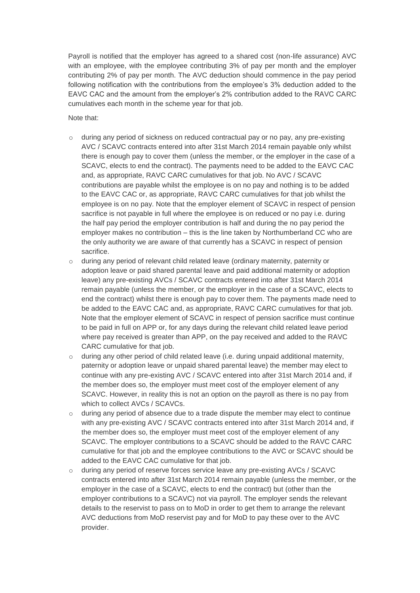Payroll is notified that the employer has agreed to a shared cost (non-life assurance) AVC with an employee, with the employee contributing 3% of pay per month and the employer contributing 2% of pay per month. The AVC deduction should commence in the pay period following notification with the contributions from the employee's 3% deduction added to the EAVC CAC and the amount from the employer's 2% contribution added to the RAVC CARC cumulatives each month in the scheme year for that job.

Note that:

- $\circ$  during any period of sickness on reduced contractual pay or no pay, any pre-existing AVC / SCAVC contracts entered into after 31st March 2014 remain payable only whilst there is enough pay to cover them (unless the member, or the employer in the case of a SCAVC, elects to end the contract). The payments need to be added to the EAVC CAC and, as appropriate, RAVC CARC cumulatives for that job. No AVC / SCAVC contributions are payable whilst the employee is on no pay and nothing is to be added to the EAVC CAC or, as appropriate, RAVC CARC cumulatives for that job whilst the employee is on no pay. Note that the employer element of SCAVC in respect of pension sacrifice is not payable in full where the employee is on reduced or no pay i.e. during the half pay period the employer contribution is half and during the no pay period the employer makes no contribution – this is the line taken by Northumberland CC who are the only authority we are aware of that currently has a SCAVC in respect of pension sacrifice.
- o during any period of relevant child related leave (ordinary maternity, paternity or adoption leave or paid shared parental leave and paid additional maternity or adoption leave) any pre-existing AVCs / SCAVC contracts entered into after 31st March 2014 remain payable (unless the member, or the employer in the case of a SCAVC, elects to end the contract) whilst there is enough pay to cover them. The payments made need to be added to the EAVC CAC and, as appropriate, RAVC CARC cumulatives for that job. Note that the employer element of SCAVC in respect of pension sacrifice must continue to be paid in full on APP or, for any days during the relevant child related leave period where pay received is greater than APP, on the pay received and added to the RAVC CARC cumulative for that job.
- $\circ$  during any other period of child related leave (i.e. during unpaid additional maternity, paternity or adoption leave or unpaid shared parental leave) the member may elect to continue with any pre-existing AVC / SCAVC entered into after 31st March 2014 and, if the member does so, the employer must meet cost of the employer element of any SCAVC. However, in reality this is not an option on the payroll as there is no pay from which to collect AVCs / SCAVCs.
- $\circ$  during any period of absence due to a trade dispute the member may elect to continue with any pre-existing AVC / SCAVC contracts entered into after 31st March 2014 and, if the member does so, the employer must meet cost of the employer element of any SCAVC. The employer contributions to a SCAVC should be added to the RAVC CARC cumulative for that job and the employee contributions to the AVC or SCAVC should be added to the EAVC CAC cumulative for that job.
- $\circ$  during any period of reserve forces service leave any pre-existing AVCs / SCAVC contracts entered into after 31st March 2014 remain payable (unless the member, or the employer in the case of a SCAVC, elects to end the contract) but (other than the employer contributions to a SCAVC) not via payroll. The employer sends the relevant details to the reservist to pass on to MoD in order to get them to arrange the relevant AVC deductions from MoD reservist pay and for MoD to pay these over to the AVC provider.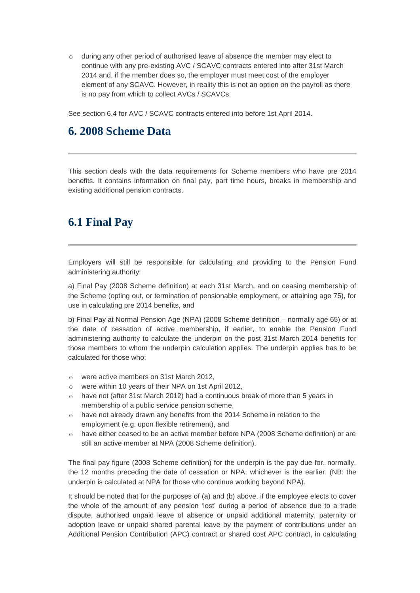$\circ$  during any other period of authorised leave of absence the member may elect to continue with any pre-existing AVC / SCAVC contracts entered into after 31st March 2014 and, if the member does so, the employer must meet cost of the employer element of any SCAVC. However, in reality this is not an option on the payroll as there is no pay from which to collect AVCs / SCAVCs.

See section 6.4 for AVC / SCAVC contracts entered into before 1st April 2014.

### **6. 2008 Scheme Data**

This section deals with the data requirements for Scheme members who have pre 2014 benefits. It contains information on final pay, part time hours, breaks in membership and existing additional pension contracts.

### **6.1 Final Pay**

Employers will still be responsible for calculating and providing to the Pension Fund administering authority:

a) Final Pay (2008 Scheme definition) at each 31st March, and on ceasing membership of the Scheme (opting out, or termination of pensionable employment, or attaining age 75), for use in calculating pre 2014 benefits, and

b) Final Pay at Normal Pension Age (NPA) (2008 Scheme definition – normally age 65) or at the date of cessation of active membership, if earlier, to enable the Pension Fund administering authority to calculate the underpin on the post 31st March 2014 benefits for those members to whom the underpin calculation applies. The underpin applies has to be calculated for those who:

- o were active members on 31st March 2012,
- o were within 10 years of their NPA on 1st April 2012,
- $\circ$  have not (after 31st March 2012) had a continuous break of more than 5 years in membership of a public service pension scheme,
- o have not already drawn any benefits from the 2014 Scheme in relation to the employment (e.g. upon flexible retirement), and
- o have either ceased to be an active member before NPA (2008 Scheme definition) or are still an active member at NPA (2008 Scheme definition).

The final pay figure (2008 Scheme definition) for the underpin is the pay due for, normally, the 12 months preceding the date of cessation or NPA, whichever is the earlier. (NB: the underpin is calculated at NPA for those who continue working beyond NPA).

It should be noted that for the purposes of (a) and (b) above, if the employee elects to cover the whole of the amount of any pension 'lost' during a period of absence due to a trade dispute, authorised unpaid leave of absence or unpaid additional maternity, paternity or adoption leave or unpaid shared parental leave by the payment of contributions under an Additional Pension Contribution (APC) contract or shared cost APC contract, in calculating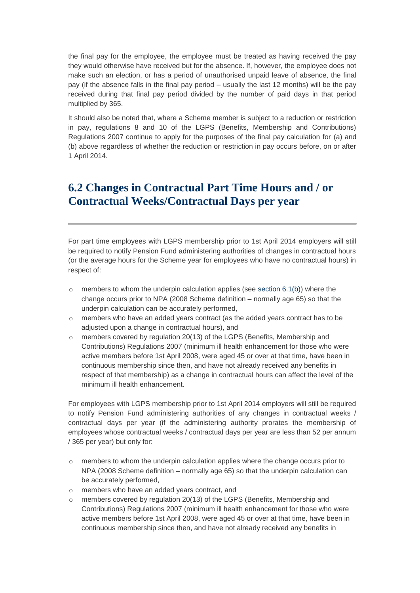the final pay for the employee, the employee must be treated as having received the pay they would otherwise have received but for the absence. If, however, the employee does not make such an election, or has a period of unauthorised unpaid leave of absence, the final pay (if the absence falls in the final pay period – usually the last 12 months) will be the pay received during that final pay period divided by the number of paid days in that period multiplied by 365.

It should also be noted that, where a Scheme member is subject to a reduction or restriction in pay, regulations 8 and 10 of the LGPS (Benefits, Membership and Contributions) Regulations 2007 continue to apply for the purposes of the final pay calculation for (a) and (b) above regardless of whether the reduction or restriction in pay occurs before, on or after 1 April 2014.

# **6.2 Changes in Contractual Part Time Hours and / or Contractual Weeks/Contractual Days per year**

For part time employees with LGPS membership prior to 1st April 2014 employers will still be required to notify Pension Fund administering authorities of changes in contractual hours (or the average hours for the Scheme year for employees who have no contractual hours) in respect of:

- $\circ$  members to whom the underpin calculation applies (see [section 6.1\(b\)\)](http://www.lgpsregs.org/index.php/guides/payroll-guide-to-the-2014-scheme?showall=&start=12#61b) where the change occurs prior to NPA (2008 Scheme definition – normally age 65) so that the underpin calculation can be accurately performed,
- $\circ$  members who have an added years contract (as the added years contract has to be adjusted upon a change in contractual hours), and
- $\circ$  members covered by regulation 20(13) of the LGPS (Benefits, Membership and Contributions) Regulations 2007 (minimum ill health enhancement for those who were active members before 1st April 2008, were aged 45 or over at that time, have been in continuous membership since then, and have not already received any benefits in respect of that membership) as a change in contractual hours can affect the level of the minimum ill health enhancement.

For employees with LGPS membership prior to 1st April 2014 employers will still be required to notify Pension Fund administering authorities of any changes in contractual weeks / contractual days per year (if the administering authority prorates the membership of employees whose contractual weeks / contractual days per year are less than 52 per annum / 365 per year) but only for:

- o members to whom the underpin calculation applies where the change occurs prior to NPA (2008 Scheme definition – normally age 65) so that the underpin calculation can be accurately performed,
- o members who have an added years contract, and
- $\circ$  members covered by regulation 20(13) of the LGPS (Benefits, Membership and Contributions) Regulations 2007 (minimum ill health enhancement for those who were active members before 1st April 2008, were aged 45 or over at that time, have been in continuous membership since then, and have not already received any benefits in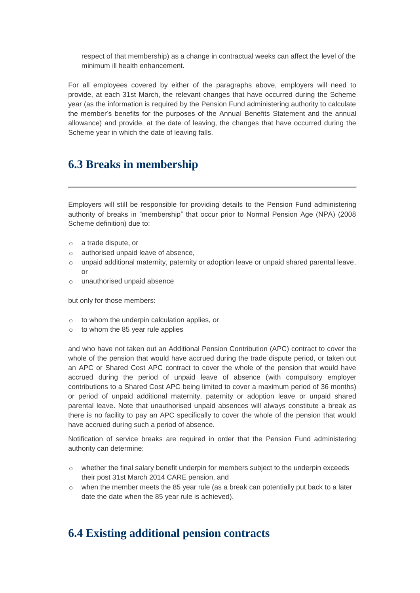respect of that membership) as a change in contractual weeks can affect the level of the minimum ill health enhancement.

For all employees covered by either of the paragraphs above, employers will need to provide, at each 31st March, the relevant changes that have occurred during the Scheme year (as the information is required by the Pension Fund administering authority to calculate the member's benefits for the purposes of the Annual Benefits Statement and the annual allowance) and provide, at the date of leaving, the changes that have occurred during the Scheme year in which the date of leaving falls.

# **6.3 Breaks in membership**

Employers will still be responsible for providing details to the Pension Fund administering authority of breaks in "membership" that occur prior to Normal Pension Age (NPA) (2008 Scheme definition) due to:

- o a trade dispute, or
- o authorised unpaid leave of absence,
- $\circ$  unpaid additional maternity, paternity or adoption leave or unpaid shared parental leave, or
- o unauthorised unpaid absence

but only for those members:

- o to whom the underpin calculation applies, or
- $\circ$  to whom the 85 year rule applies

and who have not taken out an Additional Pension Contribution (APC) contract to cover the whole of the pension that would have accrued during the trade dispute period, or taken out an APC or Shared Cost APC contract to cover the whole of the pension that would have accrued during the period of unpaid leave of absence (with compulsory employer contributions to a Shared Cost APC being limited to cover a maximum period of 36 months) or period of unpaid additional maternity, paternity or adoption leave or unpaid shared parental leave. Note that unauthorised unpaid absences will always constitute a break as there is no facility to pay an APC specifically to cover the whole of the pension that would have accrued during such a period of absence.

Notification of service breaks are required in order that the Pension Fund administering authority can determine:

- $\circ$  whether the final salary benefit underpin for members subject to the underpin exceeds their post 31st March 2014 CARE pension, and
- $\circ$  when the member meets the 85 year rule (as a break can potentially put back to a later date the date when the 85 year rule is achieved).

# **6.4 Existing additional pension contracts**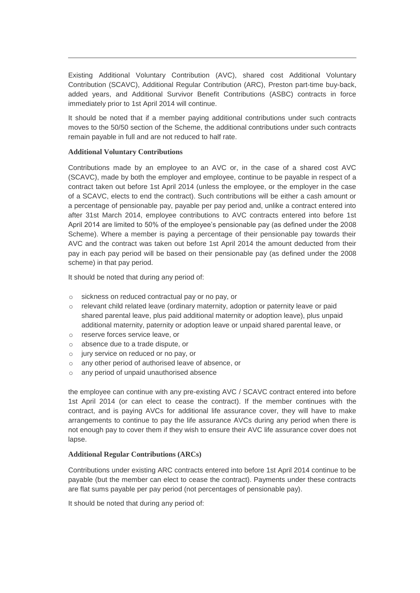Existing Additional Voluntary Contribution (AVC), shared cost Additional Voluntary Contribution (SCAVC), Additional Regular Contribution (ARC), Preston part-time buy-back, added years, and Additional Survivor Benefit Contributions (ASBC) contracts in force immediately prior to 1st April 2014 will continue.

It should be noted that if a member paying additional contributions under such contracts moves to the 50/50 section of the Scheme, the additional contributions under such contracts remain payable in full and are not reduced to half rate.

#### **Additional Voluntary Contributions**

Contributions made by an employee to an AVC or, in the case of a shared cost AVC (SCAVC), made by both the employer and employee, continue to be payable in respect of a contract taken out before 1st April 2014 (unless the employee, or the employer in the case of a SCAVC, elects to end the contract). Such contributions will be either a cash amount or a percentage of pensionable pay, payable per pay period and, unlike a contract entered into after 31st March 2014, employee contributions to AVC contracts entered into before 1st April 2014 are limited to 50% of the employee's pensionable pay (as defined under the 2008 Scheme). Where a member is paying a percentage of their pensionable pay towards their AVC and the contract was taken out before 1st April 2014 the amount deducted from their pay in each pay period will be based on their pensionable pay (as defined under the 2008 scheme) in that pay period.

It should be noted that during any period of:

- o sickness on reduced contractual pay or no pay, or
- o relevant child related leave (ordinary maternity, adoption or paternity leave or paid shared parental leave, plus paid additional maternity or adoption leave), plus unpaid additional maternity, paternity or adoption leave or unpaid shared parental leave, or
- o reserve forces service leave, or
- o absence due to a trade dispute, or
- o jury service on reduced or no pay, or
- any other period of authorised leave of absence, or
- o any period of unpaid unauthorised absence

the employee can continue with any pre-existing AVC / SCAVC contract entered into before 1st April 2014 (or can elect to cease the contract). If the member continues with the contract, and is paying AVCs for additional life assurance cover, they will have to make arrangements to continue to pay the life assurance AVCs during any period when there is not enough pay to cover them if they wish to ensure their AVC life assurance cover does not lapse.

#### **Additional Regular Contributions (ARCs)**

Contributions under existing ARC contracts entered into before 1st April 2014 continue to be payable (but the member can elect to cease the contract). Payments under these contracts are flat sums payable per pay period (not percentages of pensionable pay).

It should be noted that during any period of: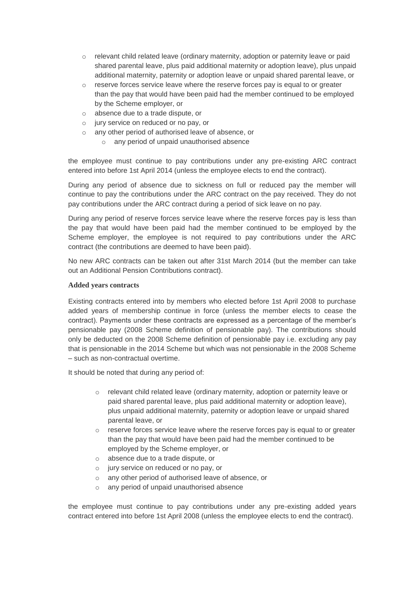- o relevant child related leave (ordinary maternity, adoption or paternity leave or paid shared parental leave, plus paid additional maternity or adoption leave), plus unpaid additional maternity, paternity or adoption leave or unpaid shared parental leave, or
- $\circ$  reserve forces service leave where the reserve forces pay is equal to or greater than the pay that would have been paid had the member continued to be employed by the Scheme employer, or
- o absence due to a trade dispute, or
- o jury service on reduced or no pay, or
- o any other period of authorised leave of absence, or
	- o any period of unpaid unauthorised absence

the employee must continue to pay contributions under any pre-existing ARC contract entered into before 1st April 2014 (unless the employee elects to end the contract).

During any period of absence due to sickness on full or reduced pay the member will continue to pay the contributions under the ARC contract on the pay received. They do not pay contributions under the ARC contract during a period of sick leave on no pay.

During any period of reserve forces service leave where the reserve forces pay is less than the pay that would have been paid had the member continued to be employed by the Scheme employer, the employee is not required to pay contributions under the ARC contract (the contributions are deemed to have been paid).

No new ARC contracts can be taken out after 31st March 2014 (but the member can take out an Additional Pension Contributions contract).

#### **Added years contracts**

Existing contracts entered into by members who elected before 1st April 2008 to purchase added years of membership continue in force (unless the member elects to cease the contract). Payments under these contracts are expressed as a percentage of the member's pensionable pay (2008 Scheme definition of pensionable pay). The contributions should only be deducted on the 2008 Scheme definition of pensionable pay i.e. excluding any pay that is pensionable in the 2014 Scheme but which was not pensionable in the 2008 Scheme – such as non-contractual overtime.

It should be noted that during any period of:

- o relevant child related leave (ordinary maternity, adoption or paternity leave or paid shared parental leave, plus paid additional maternity or adoption leave), plus unpaid additional maternity, paternity or adoption leave or unpaid shared parental leave, or
- $\circ$  reserve forces service leave where the reserve forces pay is equal to or greater than the pay that would have been paid had the member continued to be employed by the Scheme employer, or
- o absence due to a trade dispute, or
- o jury service on reduced or no pay, or
- o any other period of authorised leave of absence, or
- o any period of unpaid unauthorised absence

the employee must continue to pay contributions under any pre-existing added years contract entered into before 1st April 2008 (unless the employee elects to end the contract).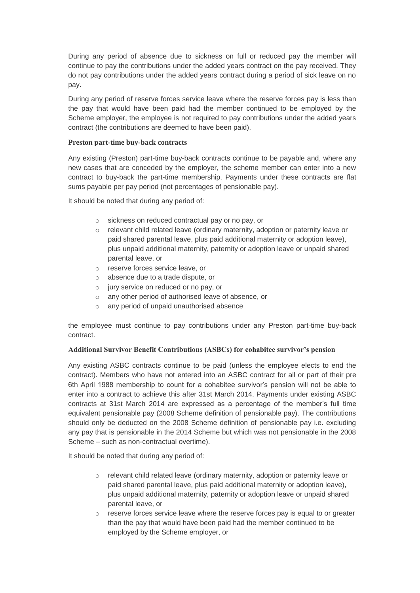During any period of absence due to sickness on full or reduced pay the member will continue to pay the contributions under the added years contract on the pay received. They do not pay contributions under the added years contract during a period of sick leave on no pay.

During any period of reserve forces service leave where the reserve forces pay is less than the pay that would have been paid had the member continued to be employed by the Scheme employer, the employee is not required to pay contributions under the added years contract (the contributions are deemed to have been paid).

#### **Preston part-time buy-back contracts**

Any existing (Preston) part-time buy-back contracts continue to be payable and, where any new cases that are conceded by the employer, the scheme member can enter into a new contract to buy-back the part-time membership. Payments under these contracts are flat sums payable per pay period (not percentages of pensionable pay).

It should be noted that during any period of:

- o sickness on reduced contractual pay or no pay, or
- o relevant child related leave (ordinary maternity, adoption or paternity leave or paid shared parental leave, plus paid additional maternity or adoption leave), plus unpaid additional maternity, paternity or adoption leave or unpaid shared parental leave, or
- o reserve forces service leave, or
- o absence due to a trade dispute, or
- o jury service on reduced or no pay, or
- o any other period of authorised leave of absence, or
- o any period of unpaid unauthorised absence

the employee must continue to pay contributions under any Preston part-time buy-back contract.

#### **Additional Survivor Benefit Contributions (ASBCs) for cohabitee survivor's pension**

Any existing ASBC contracts continue to be paid (unless the employee elects to end the contract). Members who have not entered into an ASBC contract for all or part of their pre 6th April 1988 membership to count for a cohabitee survivor's pension will not be able to enter into a contract to achieve this after 31st March 2014. Payments under existing ASBC contracts at 31st March 2014 are expressed as a percentage of the member's full time equivalent pensionable pay (2008 Scheme definition of pensionable pay). The contributions should only be deducted on the 2008 Scheme definition of pensionable pay i.e. excluding any pay that is pensionable in the 2014 Scheme but which was not pensionable in the 2008 Scheme – such as non-contractual overtime).

It should be noted that during any period of:

- o relevant child related leave (ordinary maternity, adoption or paternity leave or paid shared parental leave, plus paid additional maternity or adoption leave), plus unpaid additional maternity, paternity or adoption leave or unpaid shared parental leave, or
- $\circ$  reserve forces service leave where the reserve forces pay is equal to or greater than the pay that would have been paid had the member continued to be employed by the Scheme employer, or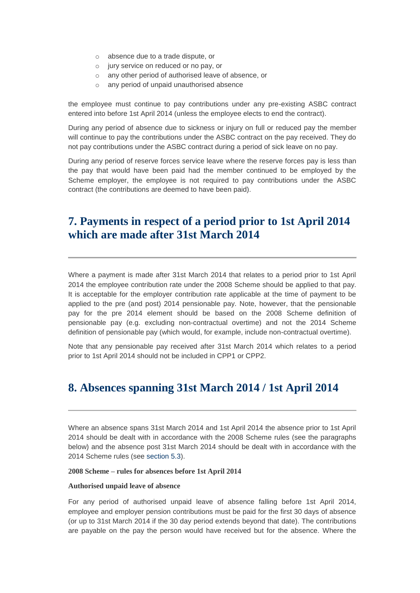- o absence due to a trade dispute, or
- o jury service on reduced or no pay, or
- o any other period of authorised leave of absence, or
- o any period of unpaid unauthorised absence

the employee must continue to pay contributions under any pre-existing ASBC contract entered into before 1st April 2014 (unless the employee elects to end the contract).

During any period of absence due to sickness or injury on full or reduced pay the member will continue to pay the contributions under the ASBC contract on the pay received. They do not pay contributions under the ASBC contract during a period of sick leave on no pay.

During any period of reserve forces service leave where the reserve forces pay is less than the pay that would have been paid had the member continued to be employed by the Scheme employer, the employee is not required to pay contributions under the ASBC contract (the contributions are deemed to have been paid).

# **7. Payments in respect of a period prior to 1st April 2014 which are made after 31st March 2014**

Where a payment is made after 31st March 2014 that relates to a period prior to 1st April 2014 the employee contribution rate under the 2008 Scheme should be applied to that pay. It is acceptable for the employer contribution rate applicable at the time of payment to be applied to the pre (and post) 2014 pensionable pay. Note, however, that the pensionable pay for the pre 2014 element should be based on the 2008 Scheme definition of pensionable pay (e.g. excluding non-contractual overtime) and not the 2014 Scheme definition of pensionable pay (which would, for example, include non-contractual overtime).

Note that any pensionable pay received after 31st March 2014 which relates to a period prior to 1st April 2014 should not be included in CPP1 or CPP2.

### **8. Absences spanning 31st March 2014 / 1st April 2014**

Where an absence spans 31st March 2014 and 1st April 2014 the absence prior to 1st April 2014 should be dealt with in accordance with the 2008 Scheme rules (see the paragraphs below) and the absence post 31st March 2014 should be dealt with in accordance with the 2014 Scheme rules (see [section 5.3\)](http://www.lgpsregs.org/index.php/guides/payroll-guide-to-the-2014-scheme?showall=&start=10).

**2008 Scheme – rules for absences before 1st April 2014**

#### **Authorised unpaid leave of absence**

For any period of authorised unpaid leave of absence falling before 1st April 2014, employee and employer pension contributions must be paid for the first 30 days of absence (or up to 31st March 2014 if the 30 day period extends beyond that date). The contributions are payable on the pay the person would have received but for the absence. Where the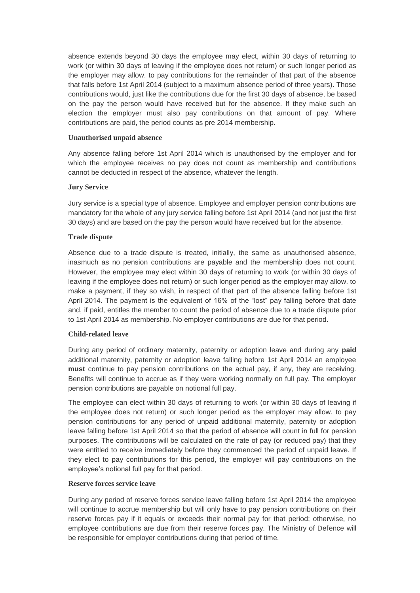absence extends beyond 30 days the employee may elect, within 30 days of returning to work (or within 30 days of leaving if the employee does not return) or such longer period as the employer may allow. to pay contributions for the remainder of that part of the absence that falls before 1st April 2014 (subject to a maximum absence period of three years). Those contributions would, just like the contributions due for the first 30 days of absence, be based on the pay the person would have received but for the absence. If they make such an election the employer must also pay contributions on that amount of pay. Where contributions are paid, the period counts as pre 2014 membership.

#### **Unauthorised unpaid absence**

Any absence falling before 1st April 2014 which is unauthorised by the employer and for which the employee receives no pay does not count as membership and contributions cannot be deducted in respect of the absence, whatever the length.

#### **Jury Service**

Jury service is a special type of absence. Employee and employer pension contributions are mandatory for the whole of any jury service falling before 1st April 2014 (and not just the first 30 days) and are based on the pay the person would have received but for the absence.

#### **Trade dispute**

Absence due to a trade dispute is treated, initially, the same as unauthorised absence, inasmuch as no pension contributions are payable and the membership does not count. However, the employee may elect within 30 days of returning to work (or within 30 days of leaving if the employee does not return) or such longer period as the employer may allow. to make a payment, if they so wish, in respect of that part of the absence falling before 1st April 2014. The payment is the equivalent of 16% of the "lost" pay falling before that date and, if paid, entitles the member to count the period of absence due to a trade dispute prior to 1st April 2014 as membership. No employer contributions are due for that period.

#### **Child-related leave**

During any period of ordinary maternity, paternity or adoption leave and during any **paid** additional maternity, paternity or adoption leave falling before 1st April 2014 an employee **must** continue to pay pension contributions on the actual pay, if any, they are receiving. Benefits will continue to accrue as if they were working normally on full pay. The employer pension contributions are payable on notional full pay.

The employee can elect within 30 days of returning to work (or within 30 days of leaving if the employee does not return) or such longer period as the employer may allow. to pay pension contributions for any period of unpaid additional maternity, paternity or adoption leave falling before 1st April 2014 so that the period of absence will count in full for pension purposes. The contributions will be calculated on the rate of pay (or reduced pay) that they were entitled to receive immediately before they commenced the period of unpaid leave. If they elect to pay contributions for this period, the employer will pay contributions on the employee's notional full pay for that period.

#### **Reserve forces service leave**

During any period of reserve forces service leave falling before 1st April 2014 the employee will continue to accrue membership but will only have to pay pension contributions on their reserve forces pay if it equals or exceeds their normal pay for that period; otherwise, no employee contributions are due from their reserve forces pay. The Ministry of Defence will be responsible for employer contributions during that period of time.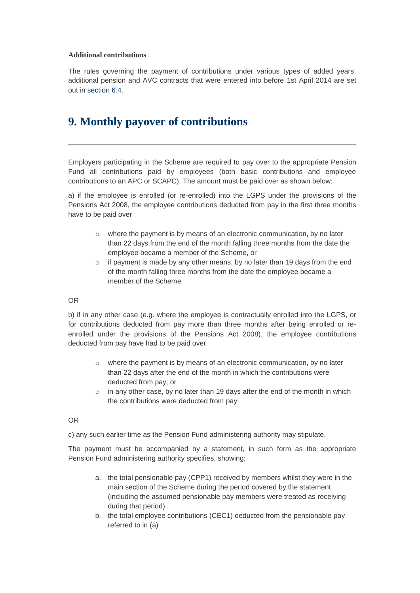#### **Additional contributions**

The rules governing the payment of contributions under various types of added years, additional pension and AVC contracts that were entered into before 1st April 2014 are set out in [section 6.4.](http://www.lgpsregs.org/index.php/guides/payroll-guide-to-the-2014-scheme?showall=&start=15)

# **9. Monthly payover of contributions**

Employers participating in the Scheme are required to pay over to the appropriate Pension Fund all contributions paid by employees (both basic contributions and employee contributions to an APC or SCAPC). The amount must be paid over as shown below:

a) if the employee is enrolled (or re-enrolled) into the LGPS under the provisions of the Pensions Act 2008, the employee contributions deducted from pay in the first three months have to be paid over

- $\circ$  where the payment is by means of an electronic communication, by no later than 22 days from the end of the month falling three months from the date the employee became a member of the Scheme, or
- o if payment is made by any other means, by no later than 19 days from the end of the month falling three months from the date the employee became a member of the Scheme

#### OR

b) if in any other case (e.g. where the employee is contractually enrolled into the LGPS, or for contributions deducted from pay more than three months after being enrolled or reenrolled under the provisions of the Pensions Act 2008), the employee contributions deducted from pay have had to be paid over

- $\circ$  where the payment is by means of an electronic communication, by no later than 22 days after the end of the month in which the contributions were deducted from pay; or
- $\circ$  in any other case, by no later than 19 days after the end of the month in which the contributions were deducted from pay

#### OR

c) any such earlier time as the Pension Fund administering authority may stipulate.

The payment must be accompanied by a statement, in such form as the appropriate Pension Fund administering authority specifies, showing:

- a. the total pensionable pay (CPP1) received by members whilst they were in the main section of the Scheme during the period covered by the statement (including the assumed pensionable pay members were treated as receiving during that period)
- b. the total employee contributions (CEC1) deducted from the pensionable pay referred to in (a)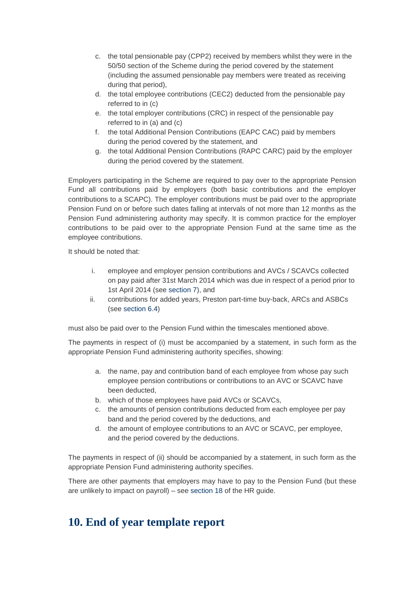- c. the total pensionable pay (CPP2) received by members whilst they were in the 50/50 section of the Scheme during the period covered by the statement (including the assumed pensionable pay members were treated as receiving during that period),
- d. the total employee contributions (CEC2) deducted from the pensionable pay referred to in (c)
- e. the total employer contributions (CRC) in respect of the pensionable pay referred to in (a) and (c)
- f. the total Additional Pension Contributions (EAPC CAC) paid by members during the period covered by the statement, and
- g. the total Additional Pension Contributions (RAPC CARC) paid by the employer during the period covered by the statement.

Employers participating in the Scheme are required to pay over to the appropriate Pension Fund all contributions paid by employers (both basic contributions and the employer contributions to a SCAPC). The employer contributions must be paid over to the appropriate Pension Fund on or before such dates falling at intervals of not more than 12 months as the Pension Fund administering authority may specify. It is common practice for the employer contributions to be paid over to the appropriate Pension Fund at the same time as the employee contributions.

It should be noted that:

- i. employee and employer pension contributions and AVCs / SCAVCs collected on pay paid after 31st March 2014 which was due in respect of a period prior to 1st April 2014 (see [section 7\)](http://www.lgpsregs.org/index.php/guides/payroll-guide-to-the-2014-scheme?showall=&start=16), and
- ii. contributions for added years, Preston part-time buy-back, ARCs and ASBCs (see [section 6.4\)](http://www.lgpsregs.org/index.php/guides/payroll-guide-to-the-2014-scheme?showall=&start=15)

must also be paid over to the Pension Fund within the timescales mentioned above.

The payments in respect of (i) must be accompanied by a statement, in such form as the appropriate Pension Fund administering authority specifies, showing:

- a. the name, pay and contribution band of each employee from whose pay such employee pension contributions or contributions to an AVC or SCAVC have been deducted,
- b. which of those employees have paid AVCs or SCAVCs,
- c. the amounts of pension contributions deducted from each employee per pay band and the period covered by the deductions, and
- d. the amount of employee contributions to an AVC or SCAVC, per employee, and the period covered by the deductions.

The payments in respect of (ii) should be accompanied by a statement, in such form as the appropriate Pension Fund administering authority specifies.

There are other payments that employers may have to pay to the Pension Fund (but these are unlikely to impact on payroll) – see [section 18](http://www.lgpsregs.org/index.php/guides/hr-guide-to-the-2014-scheme?showall=&start=21) of the HR guide.

### **10. End of year template report**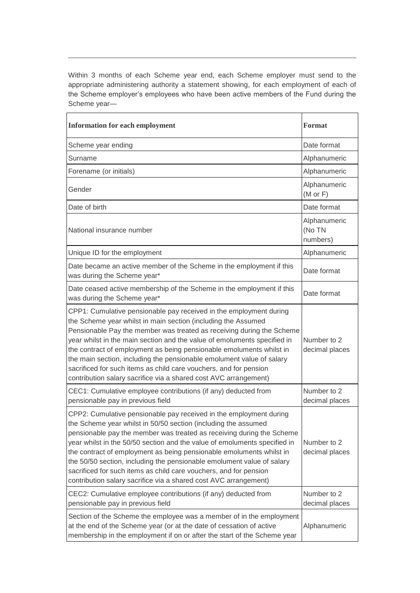Within 3 months of each Scheme year end, each Scheme employer must send to the appropriate administering authority a statement showing, for each employment of each of the Scheme employer's employees who have been active members of the Fund during the Scheme year—

| <b>Information for each employment</b>                                                                                                                                                                                                                                                                                                                                                                                                                                                                                                                                                | <b>Format</b>                       |
|---------------------------------------------------------------------------------------------------------------------------------------------------------------------------------------------------------------------------------------------------------------------------------------------------------------------------------------------------------------------------------------------------------------------------------------------------------------------------------------------------------------------------------------------------------------------------------------|-------------------------------------|
| Scheme year ending                                                                                                                                                                                                                                                                                                                                                                                                                                                                                                                                                                    | Date format                         |
| Surname                                                                                                                                                                                                                                                                                                                                                                                                                                                                                                                                                                               | Alphanumeric                        |
| Forename (or initials)                                                                                                                                                                                                                                                                                                                                                                                                                                                                                                                                                                | Alphanumeric                        |
| Gender                                                                                                                                                                                                                                                                                                                                                                                                                                                                                                                                                                                | Alphanumeric<br>$(M \text{ or } F)$ |
| Date of birth                                                                                                                                                                                                                                                                                                                                                                                                                                                                                                                                                                         | Date format                         |
| National insurance number                                                                                                                                                                                                                                                                                                                                                                                                                                                                                                                                                             | Alphanumeric<br>(No TN<br>numbers)  |
| Unique ID for the employment                                                                                                                                                                                                                                                                                                                                                                                                                                                                                                                                                          | Alphanumeric                        |
| Date became an active member of the Scheme in the employment if this<br>was during the Scheme year*                                                                                                                                                                                                                                                                                                                                                                                                                                                                                   | Date format                         |
| Date ceased active membership of the Scheme in the employment if this<br>was during the Scheme year*                                                                                                                                                                                                                                                                                                                                                                                                                                                                                  | Date format                         |
| CPP1: Cumulative pensionable pay received in the employment during<br>the Scheme year whilst in main section (including the Assumed<br>Pensionable Pay the member was treated as receiving during the Scheme<br>year whilst in the main section and the value of emoluments specified in<br>the contract of employment as being pensionable emoluments whilst in<br>the main section, including the pensionable emolument value of salary<br>sacrificed for such items as child care vouchers, and for pension<br>contribution salary sacrifice via a shared cost AVC arrangement)    | Number to 2<br>decimal places       |
| CEC1: Cumulative employee contributions (if any) deducted from<br>pensionable pay in previous field                                                                                                                                                                                                                                                                                                                                                                                                                                                                                   | Number to 2<br>decimal places       |
| CPP2: Cumulative pensionable pay received in the employment during<br>the Scheme year whilst in 50/50 section (including the assumed<br>pensionable pay the member was treated as receiving during the Scheme<br>year whilst in the 50/50 section and the value of emoluments specified in<br>the contract of employment as being pensionable emoluments whilst in<br>the 50/50 section, including the pensionable emolument value of salary<br>sacrificed for such items as child care vouchers, and for pension<br>contribution salary sacrifice via a shared cost AVC arrangement) | Number to 2<br>decimal places       |
| CEC2: Cumulative employee contributions (if any) deducted from<br>pensionable pay in previous field                                                                                                                                                                                                                                                                                                                                                                                                                                                                                   | Number to 2<br>decimal places       |
| Section of the Scheme the employee was a member of in the employment<br>at the end of the Scheme year (or at the date of cessation of active<br>membership in the employment if on or after the start of the Scheme year                                                                                                                                                                                                                                                                                                                                                              | Alphanumeric                        |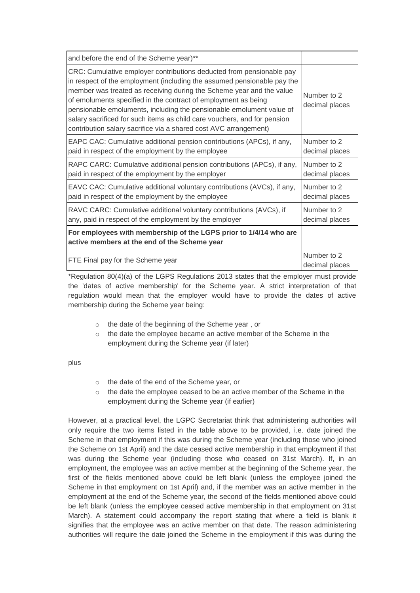| and before the end of the Scheme year)**                                                                                                                                                                                                                                                                                                                                                                                                                                                                          |                               |
|-------------------------------------------------------------------------------------------------------------------------------------------------------------------------------------------------------------------------------------------------------------------------------------------------------------------------------------------------------------------------------------------------------------------------------------------------------------------------------------------------------------------|-------------------------------|
| CRC: Cumulative employer contributions deducted from pensionable pay<br>in respect of the employment (including the assumed pensionable pay the<br>member was treated as receiving during the Scheme year and the value<br>of emoluments specified in the contract of employment as being<br>pensionable emoluments, including the pensionable emolument value of<br>salary sacrificed for such items as child care vouchers, and for pension<br>contribution salary sacrifice via a shared cost AVC arrangement) | Number to 2<br>decimal places |
| EAPC CAC: Cumulative additional pension contributions (APCs), if any,                                                                                                                                                                                                                                                                                                                                                                                                                                             | Number to 2                   |
| paid in respect of the employment by the employee                                                                                                                                                                                                                                                                                                                                                                                                                                                                 | decimal places                |
| RAPC CARC: Cumulative additional pension contributions (APCs), if any,                                                                                                                                                                                                                                                                                                                                                                                                                                            | Number to 2                   |
| paid in respect of the employment by the employer                                                                                                                                                                                                                                                                                                                                                                                                                                                                 | decimal places                |
| EAVC CAC: Cumulative additional voluntary contributions (AVCs), if any,                                                                                                                                                                                                                                                                                                                                                                                                                                           | Number to 2                   |
| paid in respect of the employment by the employee                                                                                                                                                                                                                                                                                                                                                                                                                                                                 | decimal places                |
| RAVC CARC: Cumulative additional voluntary contributions (AVCs), if                                                                                                                                                                                                                                                                                                                                                                                                                                               | Number to 2                   |
| any, paid in respect of the employment by the employer                                                                                                                                                                                                                                                                                                                                                                                                                                                            | decimal places                |
| For employees with membership of the LGPS prior to 1/4/14 who are<br>active members at the end of the Scheme year                                                                                                                                                                                                                                                                                                                                                                                                 |                               |
| FTE Final pay for the Scheme year                                                                                                                                                                                                                                                                                                                                                                                                                                                                                 | Number to 2<br>decimal places |

\*Regulation 80(4)(a) of the LGPS Regulations 2013 states that the employer must provide the 'dates of active membership' for the Scheme year. A strict interpretation of that regulation would mean that the employer would have to provide the dates of active membership during the Scheme year being:

- o the date of the beginning of the Scheme year , or
- o the date the employee became an active member of the Scheme in the employment during the Scheme year (if later)

plus

- o the date of the end of the Scheme year, or
- $\circ$  the date the employee ceased to be an active member of the Scheme in the employment during the Scheme year (if earlier)

However, at a practical level, the LGPC Secretariat think that administering authorities will only require the two items listed in the table above to be provided, i.e. date joined the Scheme in that employment if this was during the Scheme year (including those who joined the Scheme on 1st April) and the date ceased active membership in that employment if that was during the Scheme year (including those who ceased on 31st March). If, in an employment, the employee was an active member at the beginning of the Scheme year, the first of the fields mentioned above could be left blank (unless the employee joined the Scheme in that employment on 1st April) and, if the member was an active member in the employment at the end of the Scheme year, the second of the fields mentioned above could be left blank (unless the employee ceased active membership in that employment on 31st March). A statement could accompany the report stating that where a field is blank it signifies that the employee was an active member on that date. The reason administering authorities will require the date joined the Scheme in the employment if this was during the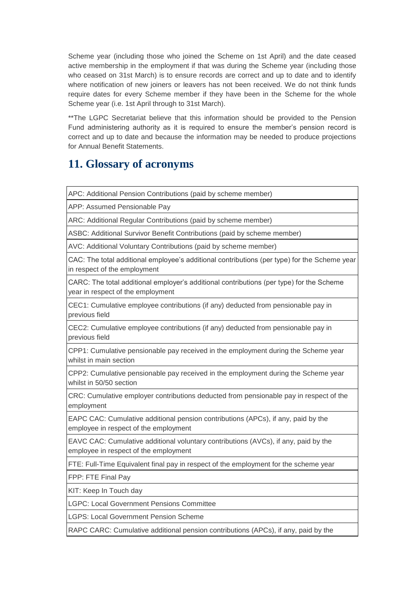Scheme year (including those who joined the Scheme on 1st April) and the date ceased active membership in the employment if that was during the Scheme year (including those who ceased on 31st March) is to ensure records are correct and up to date and to identify where notification of new joiners or leavers has not been received. We do not think funds require dates for every Scheme member if they have been in the Scheme for the whole Scheme year (i.e. 1st April through to 31st March).

\*\*The LGPC Secretariat believe that this information should be provided to the Pension Fund administering authority as it is required to ensure the member's pension record is correct and up to date and because the information may be needed to produce projections for Annual Benefit Statements.

# **11. Glossary of acronyms**

APC: Additional Pension Contributions (paid by scheme member)

APP: Assumed Pensionable Pay

ARC: Additional Regular Contributions (paid by scheme member)

ASBC: Additional Survivor Benefit Contributions (paid by scheme member)

AVC: Additional Voluntary Contributions (paid by scheme member)

CAC: The total additional employee's additional contributions (per type) for the Scheme year in respect of the employment

CARC: The total additional employer's additional contributions (per type) for the Scheme year in respect of the employment

CEC1: Cumulative employee contributions (if any) deducted from pensionable pay in previous field

CEC2: Cumulative employee contributions (if any) deducted from pensionable pay in previous field

CPP1: Cumulative pensionable pay received in the employment during the Scheme year whilst in main section

CPP2: Cumulative pensionable pay received in the employment during the Scheme year whilst in 50/50 section

CRC: Cumulative employer contributions deducted from pensionable pay in respect of the employment

EAPC CAC: Cumulative additional pension contributions (APCs), if any, paid by the employee in respect of the employment

EAVC CAC: Cumulative additional voluntary contributions (AVCs), if any, paid by the employee in respect of the employment

FTE: Full-Time Equivalent final pay in respect of the employment for the scheme year

FPP: FTE Final Pay

KIT: Keep In Touch day

LGPC: Local Government Pensions Committee

LGPS: Local Government Pension Scheme

RAPC CARC: Cumulative additional pension contributions (APCs), if any, paid by the